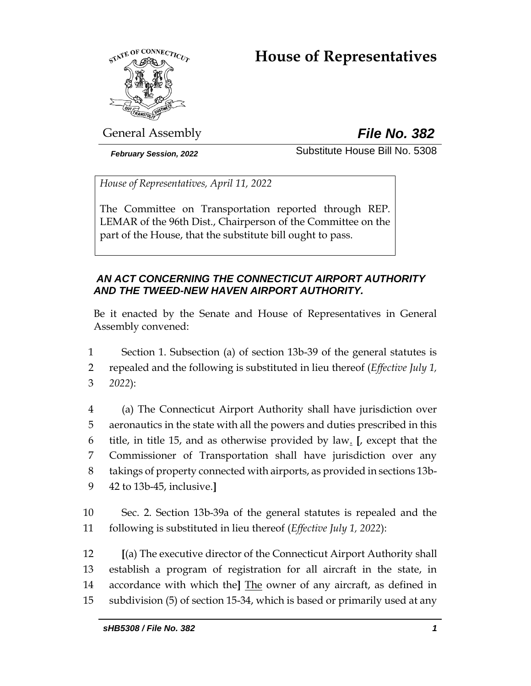# **House of Representatives**



General Assembly *File No. 382*

*February Session, 2022* Substitute House Bill No. 5308

*House of Representatives, April 11, 2022*

The Committee on Transportation reported through REP. LEMAR of the 96th Dist., Chairperson of the Committee on the part of the House, that the substitute bill ought to pass.

# *AN ACT CONCERNING THE CONNECTICUT AIRPORT AUTHORITY AND THE TWEED-NEW HAVEN AIRPORT AUTHORITY.*

Be it enacted by the Senate and House of Representatives in General Assembly convened:

1 Section 1. Subsection (a) of section 13b-39 of the general statutes is 2 repealed and the following is substituted in lieu thereof (*Effective July 1,*  3 *2022*):

 (a) The Connecticut Airport Authority shall have jurisdiction over aeronautics in the state with all the powers and duties prescribed in this title, in title 15, and as otherwise provided by law. **[**, except that the Commissioner of Transportation shall have jurisdiction over any takings of property connected with airports, as provided in sections 13b-42 to 13b-45, inclusive.**]**

10 Sec. 2. Section 13b-39a of the general statutes is repealed and the 11 following is substituted in lieu thereof (*Effective July 1, 2022*):

 **[**(a) The executive director of the Connecticut Airport Authority shall establish a program of registration for all aircraft in the state, in accordance with which the**]** The owner of any aircraft, as defined in subdivision (5) of section 15-34, which is based or primarily used at any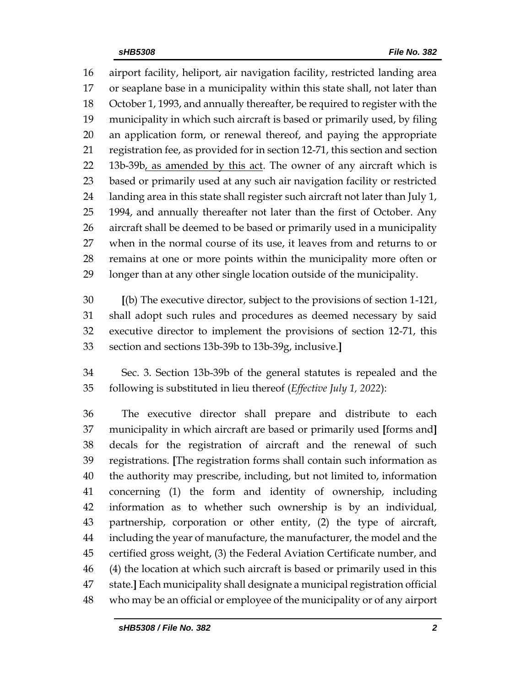airport facility, heliport, air navigation facility, restricted landing area or seaplane base in a municipality within this state shall, not later than October 1, 1993, and annually thereafter, be required to register with the municipality in which such aircraft is based or primarily used, by filing an application form, or renewal thereof, and paying the appropriate registration fee, as provided for in section 12-71, this section and section 22 13b-39b, as amended by this act. The owner of any aircraft which is based or primarily used at any such air navigation facility or restricted landing area in this state shall register such aircraft not later than July 1, 1994, and annually thereafter not later than the first of October. Any aircraft shall be deemed to be based or primarily used in a municipality when in the normal course of its use, it leaves from and returns to or remains at one or more points within the municipality more often or longer than at any other single location outside of the municipality.

 **[**(b) The executive director, subject to the provisions of section 1-121, shall adopt such rules and procedures as deemed necessary by said executive director to implement the provisions of section 12-71, this section and sections 13b-39b to 13b-39g, inclusive.**]**

 Sec. 3. Section 13b-39b of the general statutes is repealed and the following is substituted in lieu thereof (*Effective July 1, 2022*):

 The executive director shall prepare and distribute to each municipality in which aircraft are based or primarily used **[**forms and**]** decals for the registration of aircraft and the renewal of such registrations. **[**The registration forms shall contain such information as the authority may prescribe, including, but not limited to, information concerning (1) the form and identity of ownership, including information as to whether such ownership is by an individual, partnership, corporation or other entity, (2) the type of aircraft, including the year of manufacture, the manufacturer, the model and the certified gross weight, (3) the Federal Aviation Certificate number, and (4) the location at which such aircraft is based or primarily used in this state.**]** Each municipality shall designate a municipal registration official who may be an official or employee of the municipality or of any airport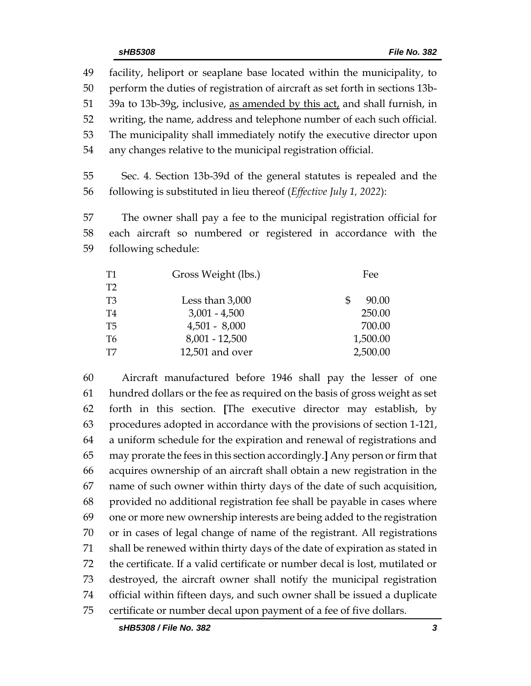facility, heliport or seaplane base located within the municipality, to perform the duties of registration of aircraft as set forth in sections 13b-51 39a to 13b-39g, inclusive, as amended by this act, and shall furnish, in writing, the name, address and telephone number of each such official. The municipality shall immediately notify the executive director upon any changes relative to the municipal registration official. Sec. 4. Section 13b-39d of the general statutes is repealed and the

following is substituted in lieu thereof (*Effective July 1, 2022*):

 The owner shall pay a fee to the municipal registration official for each aircraft so numbered or registered in accordance with the following schedule:

| T1             | Gross Weight (lbs.) | Fee      |
|----------------|---------------------|----------|
| T2             |                     |          |
| T <sub>3</sub> | Less than $3,000$   | 90.00    |
| T4             | $3,001 - 4,500$     | 250.00   |
| T <sub>5</sub> | $4,501 - 8,000$     | 700.00   |
| T6             | $8,001 - 12,500$    | 1,500.00 |
| T7             | $12,501$ and over   | 2,500.00 |

 Aircraft manufactured before 1946 shall pay the lesser of one hundred dollars or the fee as required on the basis of gross weight as set forth in this section. **[**The executive director may establish, by procedures adopted in accordance with the provisions of section 1-121, a uniform schedule for the expiration and renewal of registrations and may prorate the fees in this section accordingly.**]** Any person or firm that acquires ownership of an aircraft shall obtain a new registration in the name of such owner within thirty days of the date of such acquisition, provided no additional registration fee shall be payable in cases where one or more new ownership interests are being added to the registration or in cases of legal change of name of the registrant. All registrations shall be renewed within thirty days of the date of expiration as stated in the certificate. If a valid certificate or number decal is lost, mutilated or destroyed, the aircraft owner shall notify the municipal registration official within fifteen days, and such owner shall be issued a duplicate certificate or number decal upon payment of a fee of five dollars.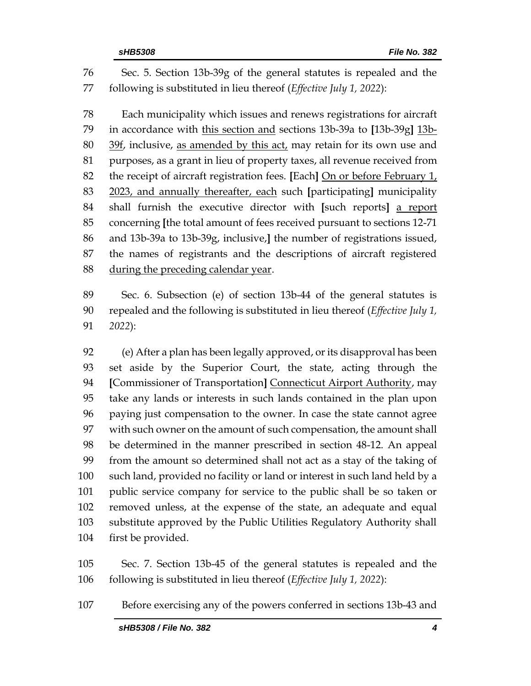Sec. 5. Section 13b-39g of the general statutes is repealed and the following is substituted in lieu thereof (*Effective July 1, 2022*):

 Each municipality which issues and renews registrations for aircraft in accordance with this section and sections 13b-39a to **[**13b-39g**]** 13b-80 39f, inclusive, as amended by this act, may retain for its own use and purposes, as a grant in lieu of property taxes, all revenue received from the receipt of aircraft registration fees. **[**Each**]** On or before February 1, 2023, and annually thereafter, each such **[**participating**]** municipality shall furnish the executive director with **[**such reports**]** a report concerning **[**the total amount of fees received pursuant to sections 12-71 and 13b-39a to 13b-39g, inclusive,**]** the number of registrations issued, the names of registrants and the descriptions of aircraft registered during the preceding calendar year.

 Sec. 6. Subsection (e) of section 13b-44 of the general statutes is repealed and the following is substituted in lieu thereof (*Effective July 1, 2022*):

 (e) After a plan has been legally approved, or its disapproval has been set aside by the Superior Court, the state, acting through the **[**Commissioner of Transportation**]** Connecticut Airport Authority, may take any lands or interests in such lands contained in the plan upon paying just compensation to the owner. In case the state cannot agree with such owner on the amount of such compensation, the amount shall be determined in the manner prescribed in section 48-12. An appeal from the amount so determined shall not act as a stay of the taking of such land, provided no facility or land or interest in such land held by a public service company for service to the public shall be so taken or removed unless, at the expense of the state, an adequate and equal substitute approved by the Public Utilities Regulatory Authority shall first be provided.

 Sec. 7. Section 13b-45 of the general statutes is repealed and the following is substituted in lieu thereof (*Effective July 1, 2022*):

Before exercising any of the powers conferred in sections 13b-43 and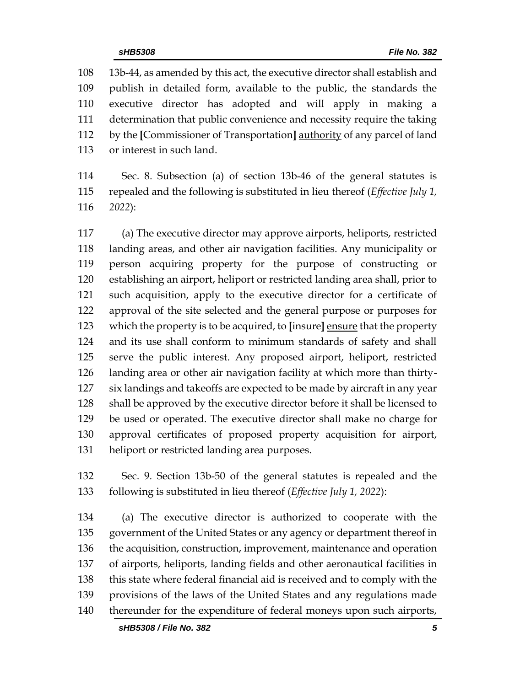13b-44, as amended by this act, the executive director shall establish and publish in detailed form, available to the public, the standards the executive director has adopted and will apply in making a determination that public convenience and necessity require the taking by the **[**Commissioner of Transportation**]** authority of any parcel of land or interest in such land.

 Sec. 8. Subsection (a) of section 13b-46 of the general statutes is repealed and the following is substituted in lieu thereof (*Effective July 1, 2022*):

 (a) The executive director may approve airports, heliports, restricted landing areas, and other air navigation facilities. Any municipality or person acquiring property for the purpose of constructing or establishing an airport, heliport or restricted landing area shall, prior to such acquisition, apply to the executive director for a certificate of approval of the site selected and the general purpose or purposes for which the property is to be acquired, to **[**insure**]** ensure that the property and its use shall conform to minimum standards of safety and shall serve the public interest. Any proposed airport, heliport, restricted landing area or other air navigation facility at which more than thirty- six landings and takeoffs are expected to be made by aircraft in any year shall be approved by the executive director before it shall be licensed to be used or operated. The executive director shall make no charge for approval certificates of proposed property acquisition for airport, heliport or restricted landing area purposes.

 Sec. 9. Section 13b-50 of the general statutes is repealed and the following is substituted in lieu thereof (*Effective July 1, 2022*):

 (a) The executive director is authorized to cooperate with the government of the United States or any agency or department thereof in the acquisition, construction, improvement, maintenance and operation of airports, heliports, landing fields and other aeronautical facilities in this state where federal financial aid is received and to comply with the provisions of the laws of the United States and any regulations made thereunder for the expenditure of federal moneys upon such airports,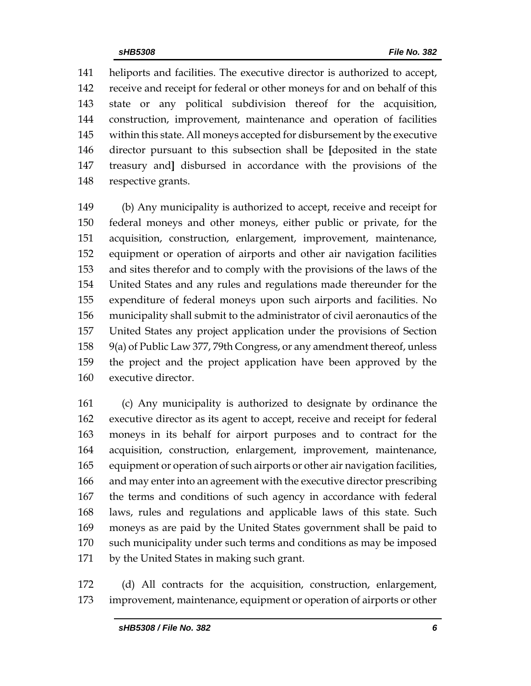heliports and facilities. The executive director is authorized to accept, receive and receipt for federal or other moneys for and on behalf of this state or any political subdivision thereof for the acquisition, construction, improvement, maintenance and operation of facilities within this state. All moneys accepted for disbursement by the executive director pursuant to this subsection shall be **[**deposited in the state treasury and**]** disbursed in accordance with the provisions of the respective grants.

 (b) Any municipality is authorized to accept, receive and receipt for federal moneys and other moneys, either public or private, for the acquisition, construction, enlargement, improvement, maintenance, equipment or operation of airports and other air navigation facilities and sites therefor and to comply with the provisions of the laws of the United States and any rules and regulations made thereunder for the expenditure of federal moneys upon such airports and facilities. No municipality shall submit to the administrator of civil aeronautics of the United States any project application under the provisions of Section 9(a) of Public Law 377, 79th Congress, or any amendment thereof, unless the project and the project application have been approved by the executive director.

 (c) Any municipality is authorized to designate by ordinance the executive director as its agent to accept, receive and receipt for federal moneys in its behalf for airport purposes and to contract for the acquisition, construction, enlargement, improvement, maintenance, equipment or operation of such airports or other air navigation facilities, and may enter into an agreement with the executive director prescribing the terms and conditions of such agency in accordance with federal laws, rules and regulations and applicable laws of this state. Such moneys as are paid by the United States government shall be paid to such municipality under such terms and conditions as may be imposed by the United States in making such grant.

 (d) All contracts for the acquisition, construction, enlargement, improvement, maintenance, equipment or operation of airports or other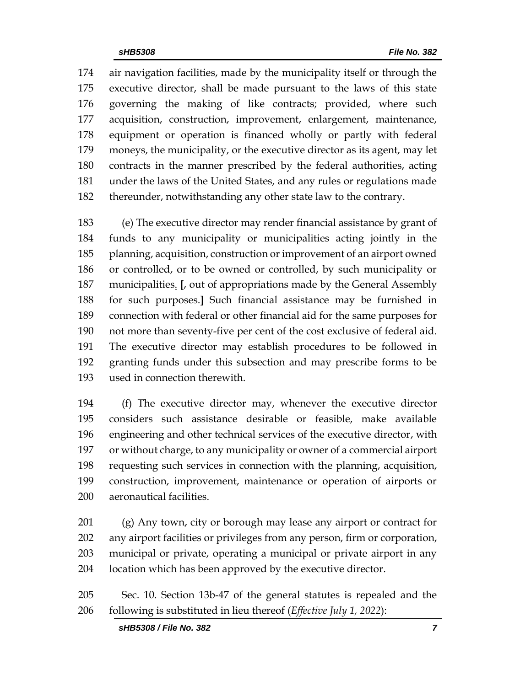air navigation facilities, made by the municipality itself or through the executive director, shall be made pursuant to the laws of this state governing the making of like contracts; provided, where such acquisition, construction, improvement, enlargement, maintenance, equipment or operation is financed wholly or partly with federal moneys, the municipality, or the executive director as its agent, may let contracts in the manner prescribed by the federal authorities, acting under the laws of the United States, and any rules or regulations made thereunder, notwithstanding any other state law to the contrary.

 (e) The executive director may render financial assistance by grant of funds to any municipality or municipalities acting jointly in the planning, acquisition, construction or improvement of an airport owned or controlled, or to be owned or controlled, by such municipality or municipalities. **[**, out of appropriations made by the General Assembly for such purposes.**]** Such financial assistance may be furnished in connection with federal or other financial aid for the same purposes for not more than seventy-five per cent of the cost exclusive of federal aid. The executive director may establish procedures to be followed in granting funds under this subsection and may prescribe forms to be used in connection therewith.

 (f) The executive director may, whenever the executive director considers such assistance desirable or feasible, make available engineering and other technical services of the executive director, with or without charge, to any municipality or owner of a commercial airport requesting such services in connection with the planning, acquisition, construction, improvement, maintenance or operation of airports or aeronautical facilities.

 (g) Any town, city or borough may lease any airport or contract for any airport facilities or privileges from any person, firm or corporation, municipal or private, operating a municipal or private airport in any location which has been approved by the executive director.

 Sec. 10. Section 13b-47 of the general statutes is repealed and the following is substituted in lieu thereof (*Effective July 1, 2022*):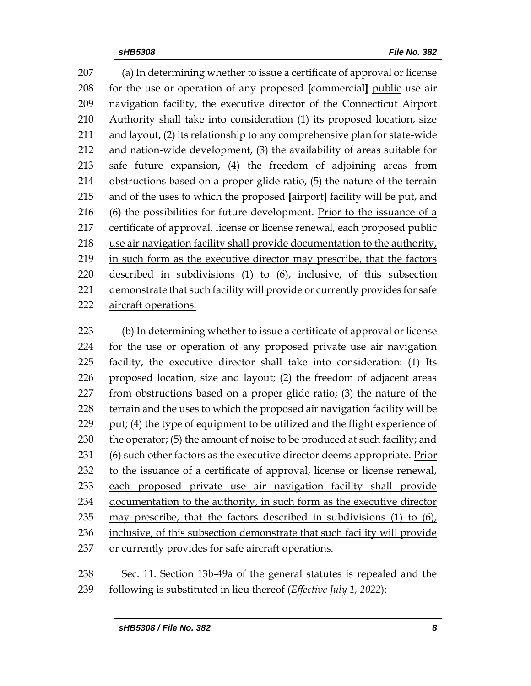(a) In determining whether to issue a certificate of approval or license for the use or operation of any proposed **[**commercial**]** public use air navigation facility, the executive director of the Connecticut Airport Authority shall take into consideration (1) its proposed location, size and layout, (2) its relationship to any comprehensive plan for state-wide and nation-wide development, (3) the availability of areas suitable for safe future expansion, (4) the freedom of adjoining areas from obstructions based on a proper glide ratio, (5) the nature of the terrain and of the uses to which the proposed **[**airport**]** facility will be put, and (6) the possibilities for future development. Prior to the issuance of a certificate of approval, license or license renewal, each proposed public use air navigation facility shall provide documentation to the authority, in such form as the executive director may prescribe, that the factors described in subdivisions (1) to (6), inclusive, of this subsection demonstrate that such facility will provide or currently provides for safe aircraft operations.

 (b) In determining whether to issue a certificate of approval or license for the use or operation of any proposed private use air navigation facility, the executive director shall take into consideration: (1) Its proposed location, size and layout; (2) the freedom of adjacent areas from obstructions based on a proper glide ratio; (3) the nature of the terrain and the uses to which the proposed air navigation facility will be put; (4) the type of equipment to be utilized and the flight experience of 230 the operator; (5) the amount of noise to be produced at such facility; and (6) such other factors as the executive director deems appropriate. Prior to the issuance of a certificate of approval, license or license renewal, each proposed private use air navigation facility shall provide documentation to the authority, in such form as the executive director may prescribe, that the factors described in subdivisions (1) to (6), inclusive, of this subsection demonstrate that such facility will provide or currently provides for safe aircraft operations.

 Sec. 11. Section 13b-49a of the general statutes is repealed and the following is substituted in lieu thereof (*Effective July 1, 2022*):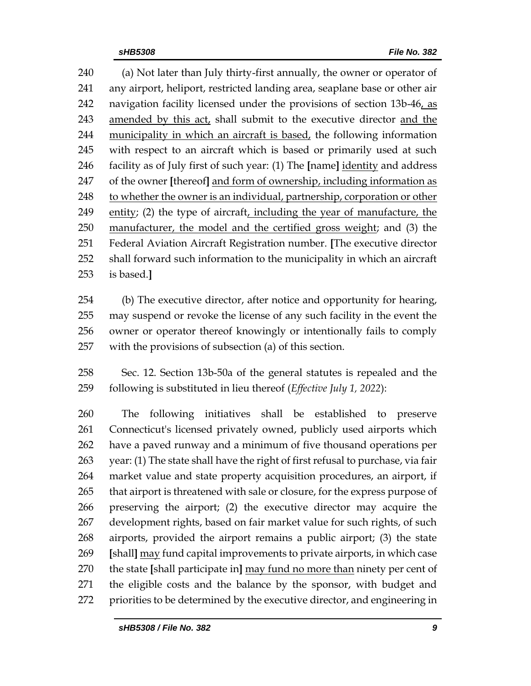(a) Not later than July thirty-first annually, the owner or operator of any airport, heliport, restricted landing area, seaplane base or other air navigation facility licensed under the provisions of section 13b-46, as amended by this act, shall submit to the executive director and the 244 municipality in which an aircraft is based, the following information with respect to an aircraft which is based or primarily used at such facility as of July first of such year: (1) The **[**name**]** identity and address of the owner **[**thereof**]** and form of ownership, including information as to whether the owner is an individual, partnership, corporation or other entity; (2) the type of aircraft, including the year of manufacture, the 250 manufacturer, the model and the certified gross weight; and (3) the Federal Aviation Aircraft Registration number. **[**The executive director shall forward such information to the municipality in which an aircraft is based.**]**

 (b) The executive director, after notice and opportunity for hearing, may suspend or revoke the license of any such facility in the event the owner or operator thereof knowingly or intentionally fails to comply with the provisions of subsection (a) of this section.

 Sec. 12. Section 13b-50a of the general statutes is repealed and the following is substituted in lieu thereof (*Effective July 1, 2022*):

 The following initiatives shall be established to preserve Connecticut's licensed privately owned, publicly used airports which have a paved runway and a minimum of five thousand operations per year: (1) The state shall have the right of first refusal to purchase, via fair market value and state property acquisition procedures, an airport, if 265 that airport is threatened with sale or closure, for the express purpose of preserving the airport; (2) the executive director may acquire the development rights, based on fair market value for such rights, of such airports, provided the airport remains a public airport; (3) the state **[**shall**]** may fund capital improvements to private airports, in which case the state **[**shall participate in**]** may fund no more than ninety per cent of the eligible costs and the balance by the sponsor, with budget and priorities to be determined by the executive director, and engineering in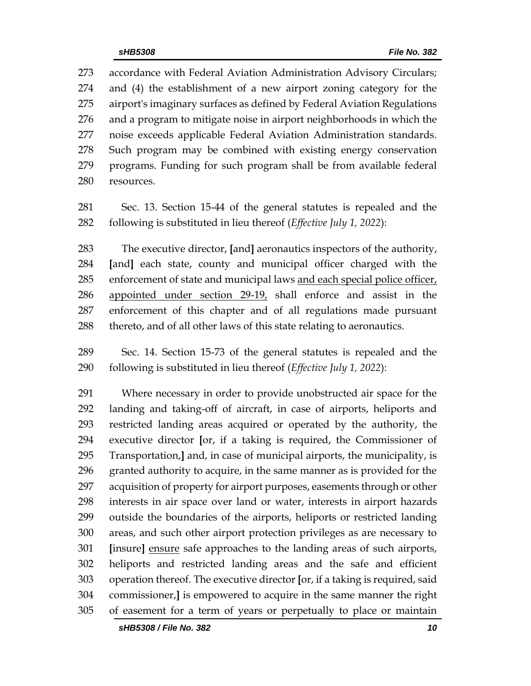accordance with Federal Aviation Administration Advisory Circulars; and (4) the establishment of a new airport zoning category for the airport's imaginary surfaces as defined by Federal Aviation Regulations and a program to mitigate noise in airport neighborhoods in which the noise exceeds applicable Federal Aviation Administration standards. Such program may be combined with existing energy conservation programs. Funding for such program shall be from available federal resources.

 Sec. 13. Section 15-44 of the general statutes is repealed and the following is substituted in lieu thereof (*Effective July 1, 2022*):

 The executive director, **[**and**]** aeronautics inspectors of the authority, **[**and**]** each state, county and municipal officer charged with the 285 enforcement of state and municipal laws and each special police officer, appointed under section 29-19, shall enforce and assist in the enforcement of this chapter and of all regulations made pursuant 288 thereto, and of all other laws of this state relating to aeronautics.

 Sec. 14. Section 15-73 of the general statutes is repealed and the following is substituted in lieu thereof (*Effective July 1, 2022*):

 Where necessary in order to provide unobstructed air space for the landing and taking-off of aircraft, in case of airports, heliports and restricted landing areas acquired or operated by the authority, the executive director **[**or, if a taking is required, the Commissioner of Transportation,**]** and, in case of municipal airports, the municipality, is granted authority to acquire, in the same manner as is provided for the acquisition of property for airport purposes, easements through or other interests in air space over land or water, interests in airport hazards outside the boundaries of the airports, heliports or restricted landing areas, and such other airport protection privileges as are necessary to **[**insure**]** ensure safe approaches to the landing areas of such airports, heliports and restricted landing areas and the safe and efficient operation thereof. The executive director **[**or, if a taking is required, said commissioner,**]** is empowered to acquire in the same manner the right of easement for a term of years or perpetually to place or maintain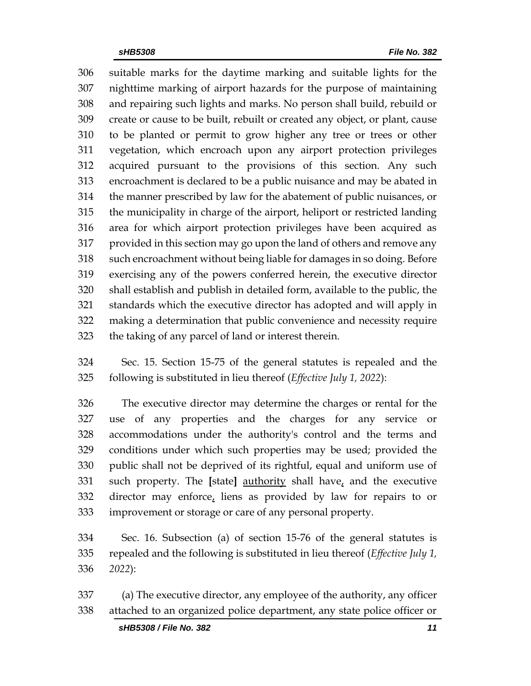suitable marks for the daytime marking and suitable lights for the nighttime marking of airport hazards for the purpose of maintaining and repairing such lights and marks. No person shall build, rebuild or create or cause to be built, rebuilt or created any object, or plant, cause to be planted or permit to grow higher any tree or trees or other vegetation, which encroach upon any airport protection privileges acquired pursuant to the provisions of this section. Any such encroachment is declared to be a public nuisance and may be abated in the manner prescribed by law for the abatement of public nuisances, or the municipality in charge of the airport, heliport or restricted landing area for which airport protection privileges have been acquired as provided in this section may go upon the land of others and remove any such encroachment without being liable for damages in so doing. Before exercising any of the powers conferred herein, the executive director shall establish and publish in detailed form, available to the public, the standards which the executive director has adopted and will apply in making a determination that public convenience and necessity require the taking of any parcel of land or interest therein.

 Sec. 15. Section 15-75 of the general statutes is repealed and the following is substituted in lieu thereof (*Effective July 1, 2022*):

 The executive director may determine the charges or rental for the use of any properties and the charges for any service or accommodations under the authority's control and the terms and conditions under which such properties may be used; provided the public shall not be deprived of its rightful, equal and uniform use of such property. The **[**state**]** authority shall have, and the executive director may enforce, liens as provided by law for repairs to or improvement or storage or care of any personal property.

 Sec. 16. Subsection (a) of section 15-76 of the general statutes is repealed and the following is substituted in lieu thereof (*Effective July 1, 2022*):

 (a) The executive director, any employee of the authority, any officer attached to an organized police department, any state police officer or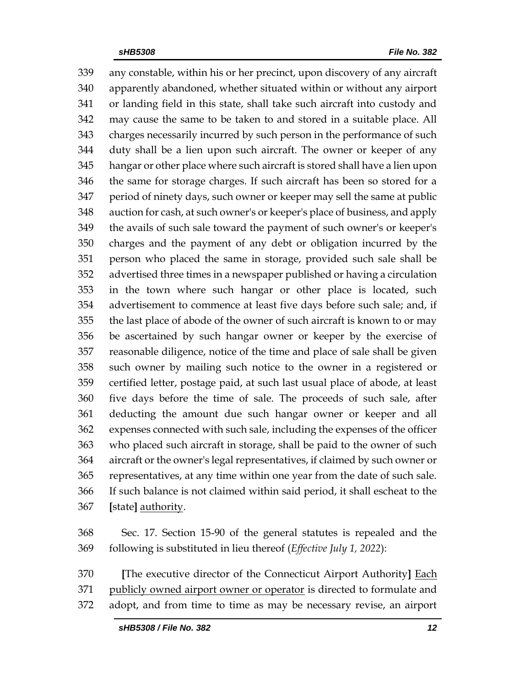any constable, within his or her precinct, upon discovery of any aircraft apparently abandoned, whether situated within or without any airport or landing field in this state, shall take such aircraft into custody and may cause the same to be taken to and stored in a suitable place. All charges necessarily incurred by such person in the performance of such duty shall be a lien upon such aircraft. The owner or keeper of any hangar or other place where such aircraft is stored shall have a lien upon the same for storage charges. If such aircraft has been so stored for a period of ninety days, such owner or keeper may sell the same at public auction for cash, at such owner's or keeper's place of business, and apply the avails of such sale toward the payment of such owner's or keeper's charges and the payment of any debt or obligation incurred by the person who placed the same in storage, provided such sale shall be advertised three times in a newspaper published or having a circulation in the town where such hangar or other place is located, such advertisement to commence at least five days before such sale; and, if the last place of abode of the owner of such aircraft is known to or may be ascertained by such hangar owner or keeper by the exercise of reasonable diligence, notice of the time and place of sale shall be given such owner by mailing such notice to the owner in a registered or certified letter, postage paid, at such last usual place of abode, at least five days before the time of sale. The proceeds of such sale, after deducting the amount due such hangar owner or keeper and all expenses connected with such sale, including the expenses of the officer who placed such aircraft in storage, shall be paid to the owner of such aircraft or the owner's legal representatives, if claimed by such owner or representatives, at any time within one year from the date of such sale. If such balance is not claimed within said period, it shall escheat to the **[**state**]** authority.

- Sec. 17. Section 15-90 of the general statutes is repealed and the following is substituted in lieu thereof (*Effective July 1, 2022*):
- **[**The executive director of the Connecticut Airport Authority**]** Each 371 publicly owned airport owner or operator is directed to formulate and adopt, and from time to time as may be necessary revise, an airport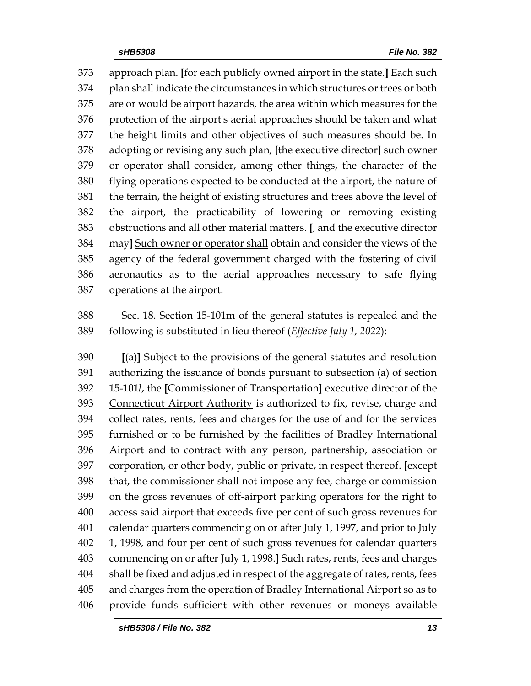approach plan. **[**for each publicly owned airport in the state.**]** Each such plan shall indicate the circumstances in which structures or trees or both are or would be airport hazards, the area within which measures for the protection of the airport's aerial approaches should be taken and what the height limits and other objectives of such measures should be. In adopting or revising any such plan, **[**the executive director**]** such owner or operator shall consider, among other things, the character of the flying operations expected to be conducted at the airport, the nature of the terrain, the height of existing structures and trees above the level of the airport, the practicability of lowering or removing existing obstructions and all other material matters. **[**, and the executive director may**]** Such owner or operator shall obtain and consider the views of the agency of the federal government charged with the fostering of civil aeronautics as to the aerial approaches necessary to safe flying operations at the airport.

 Sec. 18. Section 15-101m of the general statutes is repealed and the following is substituted in lieu thereof (*Effective July 1, 2022*):

 **[**(a)**]** Subject to the provisions of the general statutes and resolution authorizing the issuance of bonds pursuant to subsection (a) of section 15-101*l*, the **[**Commissioner of Transportation**]** executive director of the Connecticut Airport Authority is authorized to fix, revise, charge and collect rates, rents, fees and charges for the use of and for the services furnished or to be furnished by the facilities of Bradley International Airport and to contract with any person, partnership, association or corporation, or other body, public or private, in respect thereof. **[**except that, the commissioner shall not impose any fee, charge or commission on the gross revenues of off-airport parking operators for the right to access said airport that exceeds five per cent of such gross revenues for calendar quarters commencing on or after July 1, 1997, and prior to July 1, 1998, and four per cent of such gross revenues for calendar quarters commencing on or after July 1, 1998.**]** Such rates, rents, fees and charges shall be fixed and adjusted in respect of the aggregate of rates, rents, fees and charges from the operation of Bradley International Airport so as to provide funds sufficient with other revenues or moneys available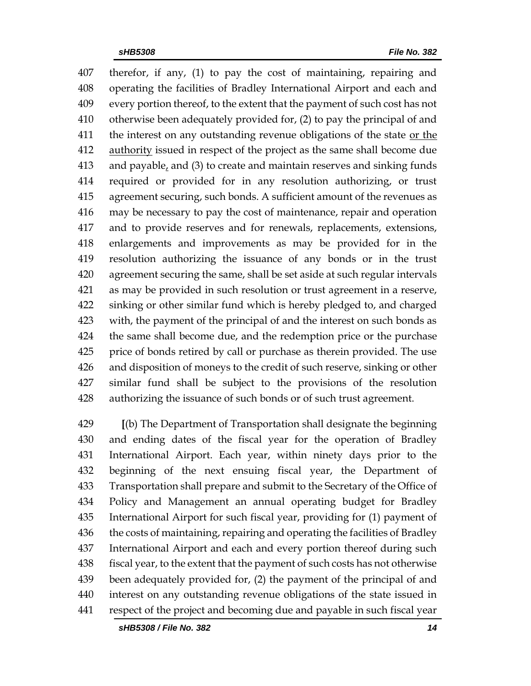therefor, if any, (1) to pay the cost of maintaining, repairing and operating the facilities of Bradley International Airport and each and every portion thereof, to the extent that the payment of such cost has not otherwise been adequately provided for, (2) to pay the principal of and 411 the interest on any outstanding revenue obligations of the state or the 412 authority issued in respect of the project as the same shall become due 413 and payable, and  $(3)$  to create and maintain reserves and sinking funds required or provided for in any resolution authorizing, or trust agreement securing, such bonds. A sufficient amount of the revenues as may be necessary to pay the cost of maintenance, repair and operation and to provide reserves and for renewals, replacements, extensions, enlargements and improvements as may be provided for in the resolution authorizing the issuance of any bonds or in the trust agreement securing the same, shall be set aside at such regular intervals as may be provided in such resolution or trust agreement in a reserve, sinking or other similar fund which is hereby pledged to, and charged with, the payment of the principal of and the interest on such bonds as the same shall become due, and the redemption price or the purchase price of bonds retired by call or purchase as therein provided. The use and disposition of moneys to the credit of such reserve, sinking or other similar fund shall be subject to the provisions of the resolution authorizing the issuance of such bonds or of such trust agreement.

 **[**(b) The Department of Transportation shall designate the beginning and ending dates of the fiscal year for the operation of Bradley International Airport. Each year, within ninety days prior to the beginning of the next ensuing fiscal year, the Department of Transportation shall prepare and submit to the Secretary of the Office of Policy and Management an annual operating budget for Bradley International Airport for such fiscal year, providing for (1) payment of the costs of maintaining, repairing and operating the facilities of Bradley International Airport and each and every portion thereof during such fiscal year, to the extent that the payment of such costs has not otherwise been adequately provided for, (2) the payment of the principal of and interest on any outstanding revenue obligations of the state issued in respect of the project and becoming due and payable in such fiscal year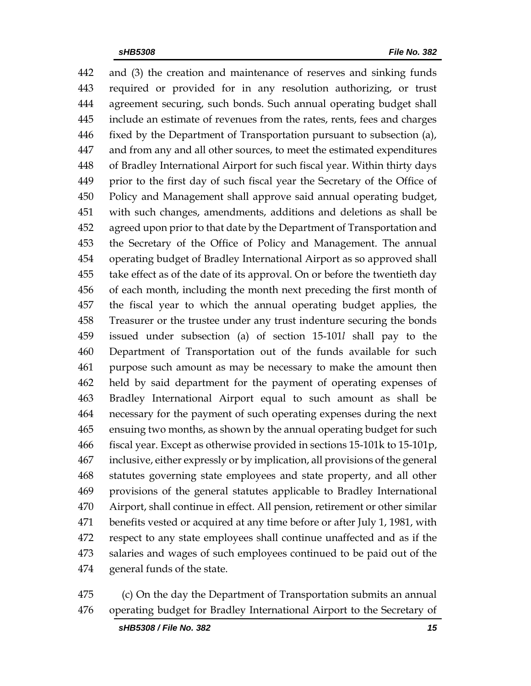and (3) the creation and maintenance of reserves and sinking funds required or provided for in any resolution authorizing, or trust agreement securing, such bonds. Such annual operating budget shall include an estimate of revenues from the rates, rents, fees and charges fixed by the Department of Transportation pursuant to subsection (a), and from any and all other sources, to meet the estimated expenditures of Bradley International Airport for such fiscal year. Within thirty days prior to the first day of such fiscal year the Secretary of the Office of Policy and Management shall approve said annual operating budget, with such changes, amendments, additions and deletions as shall be agreed upon prior to that date by the Department of Transportation and the Secretary of the Office of Policy and Management. The annual operating budget of Bradley International Airport as so approved shall take effect as of the date of its approval. On or before the twentieth day of each month, including the month next preceding the first month of the fiscal year to which the annual operating budget applies, the Treasurer or the trustee under any trust indenture securing the bonds issued under subsection (a) of section 15-101*l* shall pay to the Department of Transportation out of the funds available for such purpose such amount as may be necessary to make the amount then held by said department for the payment of operating expenses of Bradley International Airport equal to such amount as shall be necessary for the payment of such operating expenses during the next ensuing two months, as shown by the annual operating budget for such fiscal year. Except as otherwise provided in sections 15-101k to 15-101p, inclusive, either expressly or by implication, all provisions of the general statutes governing state employees and state property, and all other provisions of the general statutes applicable to Bradley International Airport, shall continue in effect. All pension, retirement or other similar benefits vested or acquired at any time before or after July 1, 1981, with respect to any state employees shall continue unaffected and as if the salaries and wages of such employees continued to be paid out of the general funds of the state.

 (c) On the day the Department of Transportation submits an annual operating budget for Bradley International Airport to the Secretary of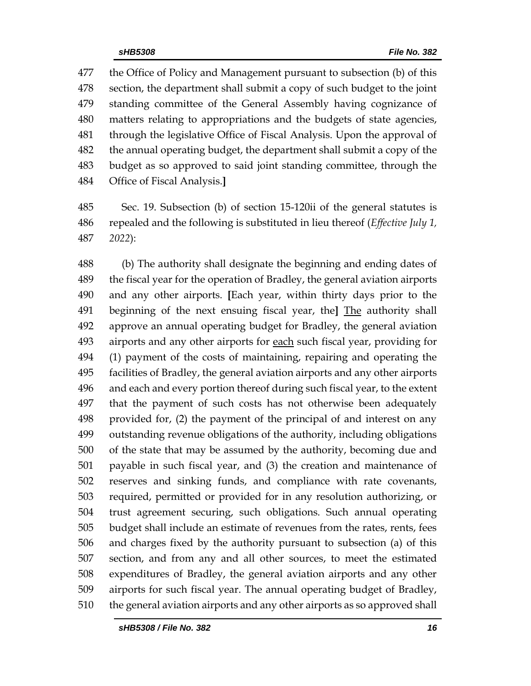the Office of Policy and Management pursuant to subsection (b) of this section, the department shall submit a copy of such budget to the joint standing committee of the General Assembly having cognizance of matters relating to appropriations and the budgets of state agencies, through the legislative Office of Fiscal Analysis. Upon the approval of the annual operating budget, the department shall submit a copy of the budget as so approved to said joint standing committee, through the Office of Fiscal Analysis.**]**

 Sec. 19. Subsection (b) of section 15-120ii of the general statutes is repealed and the following is substituted in lieu thereof (*Effective July 1, 2022*):

 (b) The authority shall designate the beginning and ending dates of the fiscal year for the operation of Bradley, the general aviation airports and any other airports. **[**Each year, within thirty days prior to the beginning of the next ensuing fiscal year, the**]** The authority shall approve an annual operating budget for Bradley, the general aviation 493 airports and any other airports for each such fiscal year, providing for (1) payment of the costs of maintaining, repairing and operating the facilities of Bradley, the general aviation airports and any other airports and each and every portion thereof during such fiscal year, to the extent that the payment of such costs has not otherwise been adequately provided for, (2) the payment of the principal of and interest on any outstanding revenue obligations of the authority, including obligations of the state that may be assumed by the authority, becoming due and payable in such fiscal year, and (3) the creation and maintenance of reserves and sinking funds, and compliance with rate covenants, required, permitted or provided for in any resolution authorizing, or trust agreement securing, such obligations. Such annual operating budget shall include an estimate of revenues from the rates, rents, fees and charges fixed by the authority pursuant to subsection (a) of this section, and from any and all other sources, to meet the estimated expenditures of Bradley, the general aviation airports and any other airports for such fiscal year. The annual operating budget of Bradley, the general aviation airports and any other airports as so approved shall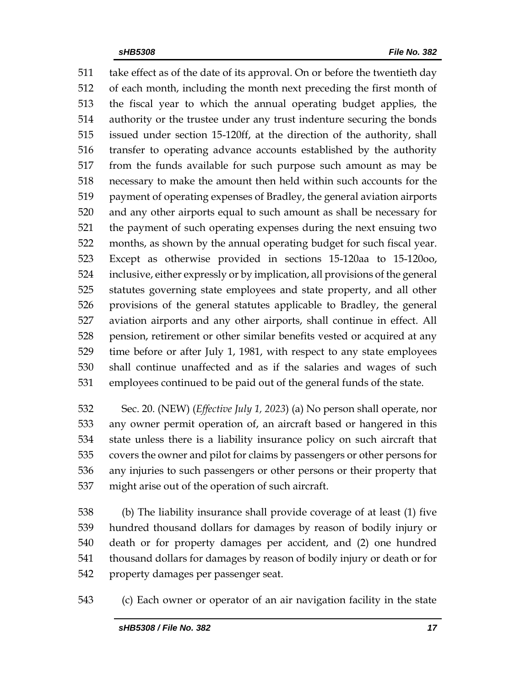take effect as of the date of its approval. On or before the twentieth day of each month, including the month next preceding the first month of the fiscal year to which the annual operating budget applies, the authority or the trustee under any trust indenture securing the bonds issued under section 15-120ff, at the direction of the authority, shall transfer to operating advance accounts established by the authority from the funds available for such purpose such amount as may be necessary to make the amount then held within such accounts for the payment of operating expenses of Bradley, the general aviation airports and any other airports equal to such amount as shall be necessary for the payment of such operating expenses during the next ensuing two months, as shown by the annual operating budget for such fiscal year. Except as otherwise provided in sections 15-120aa to 15-120oo, inclusive, either expressly or by implication, all provisions of the general statutes governing state employees and state property, and all other provisions of the general statutes applicable to Bradley, the general aviation airports and any other airports, shall continue in effect. All pension, retirement or other similar benefits vested or acquired at any time before or after July 1, 1981, with respect to any state employees shall continue unaffected and as if the salaries and wages of such employees continued to be paid out of the general funds of the state.

 Sec. 20. (NEW) (*Effective July 1, 2023*) (a) No person shall operate, nor any owner permit operation of, an aircraft based or hangered in this state unless there is a liability insurance policy on such aircraft that covers the owner and pilot for claims by passengers or other persons for any injuries to such passengers or other persons or their property that might arise out of the operation of such aircraft.

 (b) The liability insurance shall provide coverage of at least (1) five hundred thousand dollars for damages by reason of bodily injury or death or for property damages per accident, and (2) one hundred thousand dollars for damages by reason of bodily injury or death or for property damages per passenger seat.

(c) Each owner or operator of an air navigation facility in the state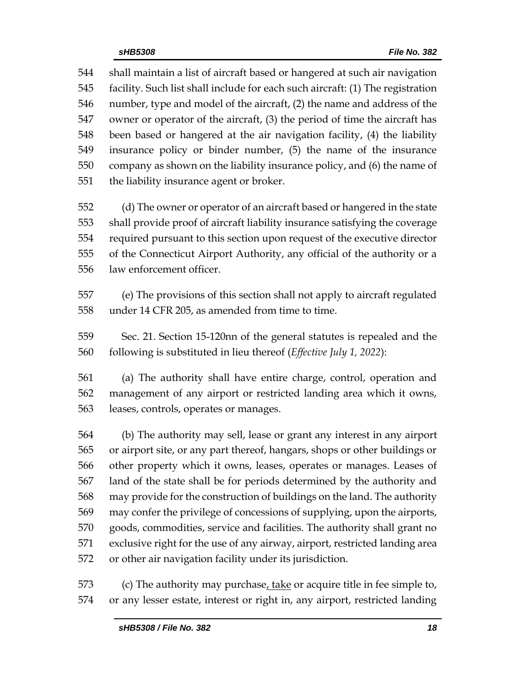shall maintain a list of aircraft based or hangered at such air navigation facility. Such list shall include for each such aircraft: (1) The registration number, type and model of the aircraft, (2) the name and address of the owner or operator of the aircraft, (3) the period of time the aircraft has been based or hangered at the air navigation facility, (4) the liability insurance policy or binder number, (5) the name of the insurance company as shown on the liability insurance policy, and (6) the name of the liability insurance agent or broker.

 (d) The owner or operator of an aircraft based or hangered in the state shall provide proof of aircraft liability insurance satisfying the coverage required pursuant to this section upon request of the executive director of the Connecticut Airport Authority, any official of the authority or a law enforcement officer.

 (e) The provisions of this section shall not apply to aircraft regulated under 14 CFR 205, as amended from time to time.

 Sec. 21. Section 15-120nn of the general statutes is repealed and the following is substituted in lieu thereof (*Effective July 1, 2022*):

 (a) The authority shall have entire charge, control, operation and management of any airport or restricted landing area which it owns, leases, controls, operates or manages.

 (b) The authority may sell, lease or grant any interest in any airport or airport site, or any part thereof, hangars, shops or other buildings or other property which it owns, leases, operates or manages. Leases of land of the state shall be for periods determined by the authority and may provide for the construction of buildings on the land. The authority may confer the privilege of concessions of supplying, upon the airports, goods, commodities, service and facilities. The authority shall grant no exclusive right for the use of any airway, airport, restricted landing area or other air navigation facility under its jurisdiction.

573 (c) The authority may purchase, take or acquire title in fee simple to, or any lesser estate, interest or right in, any airport, restricted landing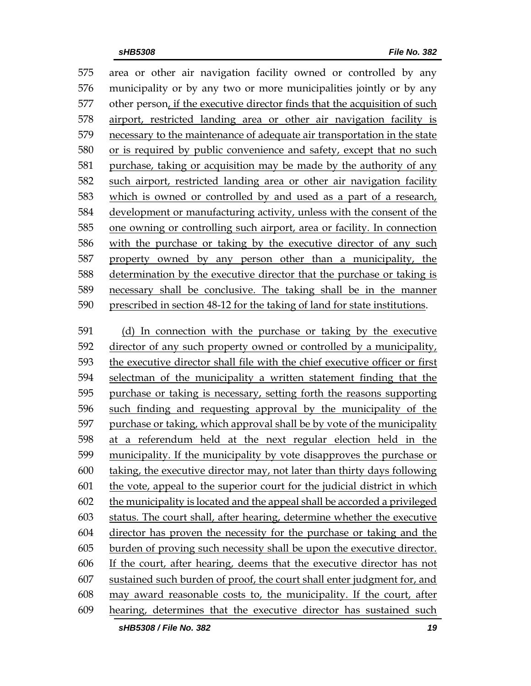area or other air navigation facility owned or controlled by any municipality or by any two or more municipalities jointly or by any other person, if the executive director finds that the acquisition of such airport, restricted landing area or other air navigation facility is necessary to the maintenance of adequate air transportation in the state or is required by public convenience and safety, except that no such purchase, taking or acquisition may be made by the authority of any such airport, restricted landing area or other air navigation facility which is owned or controlled by and used as a part of a research, development or manufacturing activity, unless with the consent of the one owning or controlling such airport, area or facility. In connection with the purchase or taking by the executive director of any such property owned by any person other than a municipality, the determination by the executive director that the purchase or taking is necessary shall be conclusive. The taking shall be in the manner prescribed in section 48-12 for the taking of land for state institutions. (d) In connection with the purchase or taking by the executive

 director of any such property owned or controlled by a municipality, the executive director shall file with the chief executive officer or first selectman of the municipality a written statement finding that the purchase or taking is necessary, setting forth the reasons supporting such finding and requesting approval by the municipality of the purchase or taking, which approval shall be by vote of the municipality at a referendum held at the next regular election held in the municipality. If the municipality by vote disapproves the purchase or taking, the executive director may, not later than thirty days following the vote, appeal to the superior court for the judicial district in which the municipality is located and the appeal shall be accorded a privileged status. The court shall, after hearing, determine whether the executive director has proven the necessity for the purchase or taking and the burden of proving such necessity shall be upon the executive director. If the court, after hearing, deems that the executive director has not sustained such burden of proof, the court shall enter judgment for, and may award reasonable costs to, the municipality. If the court, after hearing, determines that the executive director has sustained such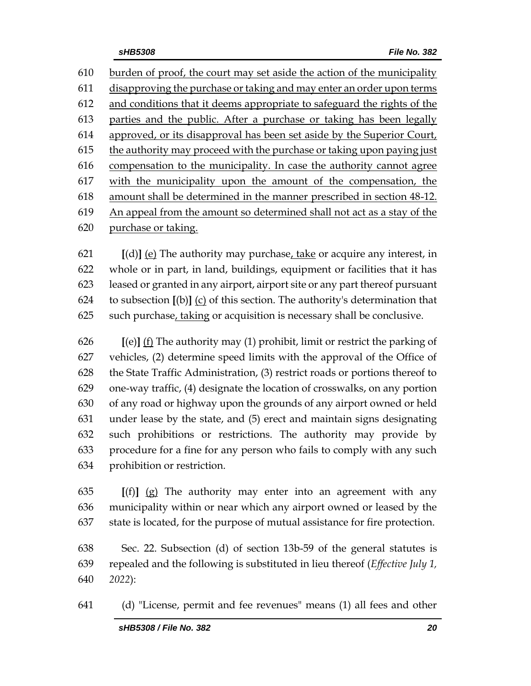burden of proof, the court may set aside the action of the municipality disapproving the purchase or taking and may enter an order upon terms and conditions that it deems appropriate to safeguard the rights of the parties and the public. After a purchase or taking has been legally approved, or its disapproval has been set aside by the Superior Court, the authority may proceed with the purchase or taking upon paying just compensation to the municipality. In case the authority cannot agree with the municipality upon the amount of the compensation, the amount shall be determined in the manner prescribed in section 48-12. An appeal from the amount so determined shall not act as a stay of the purchase or taking.

 **[**(d)**]** (e) The authority may purchase, take or acquire any interest, in whole or in part, in land, buildings, equipment or facilities that it has leased or granted in any airport, airport site or any part thereof pursuant to subsection **[**(b)**]** (c) of this section. The authority's determination that such purchase, taking or acquisition is necessary shall be conclusive.

 **[**(e)**]** (f) The authority may (1) prohibit, limit or restrict the parking of vehicles, (2) determine speed limits with the approval of the Office of the State Traffic Administration, (3) restrict roads or portions thereof to one-way traffic, (4) designate the location of crosswalks, on any portion of any road or highway upon the grounds of any airport owned or held under lease by the state, and (5) erect and maintain signs designating such prohibitions or restrictions. The authority may provide by procedure for a fine for any person who fails to comply with any such prohibition or restriction.

 **[**(f)**]** (g) The authority may enter into an agreement with any municipality within or near which any airport owned or leased by the state is located, for the purpose of mutual assistance for fire protection.

 Sec. 22. Subsection (d) of section 13b-59 of the general statutes is repealed and the following is substituted in lieu thereof (*Effective July 1, 2022*):

(d) "License, permit and fee revenues" means (1) all fees and other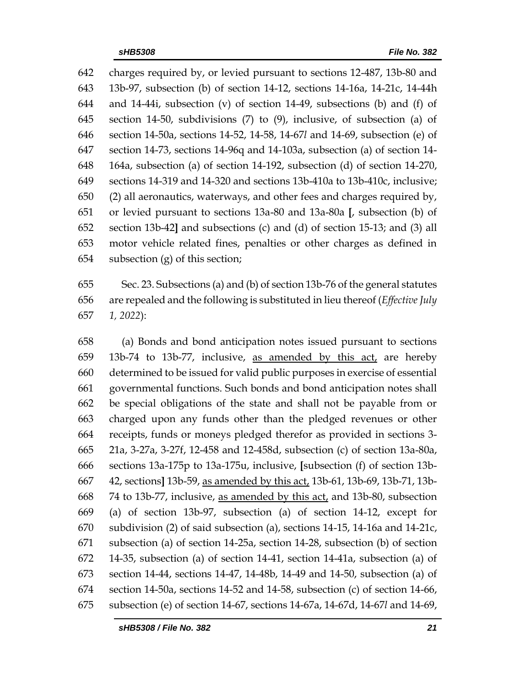charges required by, or levied pursuant to sections 12-487, 13b-80 and 13b-97, subsection (b) of section 14-12, sections 14-16a, 14-21c, 14-44h and 14-44i, subsection (v) of section 14-49, subsections (b) and (f) of section 14-50, subdivisions (7) to (9), inclusive, of subsection (a) of section 14-50a, sections 14-52, 14-58, 14-67*l* and 14-69, subsection (e) of section 14-73, sections 14-96q and 14-103a, subsection (a) of section 14- 164a, subsection (a) of section 14-192, subsection (d) of section 14-270, sections 14-319 and 14-320 and sections 13b-410a to 13b-410c, inclusive; (2) all aeronautics, waterways, and other fees and charges required by, or levied pursuant to sections 13a-80 and 13a-80a **[**, subsection (b) of section 13b-42**]** and subsections (c) and (d) of section 15-13; and (3) all motor vehicle related fines, penalties or other charges as defined in subsection (g) of this section;

 Sec. 23. Subsections (a) and (b) of section 13b-76 of the general statutes are repealed and the following is substituted in lieu thereof (*Effective July 1, 2022*):

 (a) Bonds and bond anticipation notes issued pursuant to sections 13b-74 to 13b-77, inclusive, as amended by this act, are hereby determined to be issued for valid public purposes in exercise of essential governmental functions. Such bonds and bond anticipation notes shall be special obligations of the state and shall not be payable from or charged upon any funds other than the pledged revenues or other receipts, funds or moneys pledged therefor as provided in sections 3- 21a, 3-27a, 3-27f, 12-458 and 12-458d, subsection (c) of section 13a-80a, sections 13a-175p to 13a-175u, inclusive, **[**subsection (f) of section 13b- 42, sections**]** 13b-59, as amended by this act, 13b-61, 13b-69, 13b-71, 13b- 74 to 13b-77, inclusive, as amended by this act, and 13b-80, subsection (a) of section 13b-97, subsection (a) of section 14-12, except for subdivision (2) of said subsection (a), sections 14-15, 14-16a and 14-21c, subsection (a) of section 14-25a, section 14-28, subsection (b) of section 14-35, subsection (a) of section 14-41, section 14-41a, subsection (a) of section 14-44, sections 14-47, 14-48b, 14-49 and 14-50, subsection (a) of section 14-50a, sections 14-52 and 14-58, subsection (c) of section 14-66, subsection (e) of section 14-67, sections 14-67a, 14-67d, 14-67*l* and 14-69,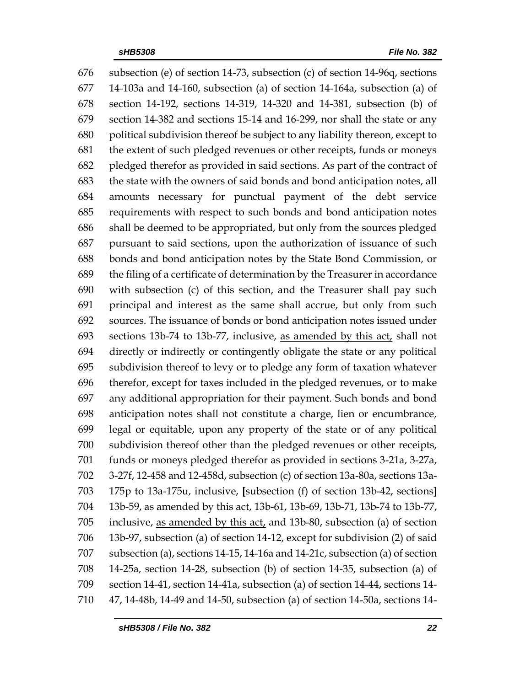subsection (e) of section 14-73, subsection (c) of section 14-96q, sections 14-103a and 14-160, subsection (a) of section 14-164a, subsection (a) of section 14-192, sections 14-319, 14-320 and 14-381, subsection (b) of section 14-382 and sections 15-14 and 16-299, nor shall the state or any political subdivision thereof be subject to any liability thereon, except to the extent of such pledged revenues or other receipts, funds or moneys pledged therefor as provided in said sections. As part of the contract of the state with the owners of said bonds and bond anticipation notes, all amounts necessary for punctual payment of the debt service requirements with respect to such bonds and bond anticipation notes shall be deemed to be appropriated, but only from the sources pledged pursuant to said sections, upon the authorization of issuance of such bonds and bond anticipation notes by the State Bond Commission, or the filing of a certificate of determination by the Treasurer in accordance with subsection (c) of this section, and the Treasurer shall pay such principal and interest as the same shall accrue, but only from such sources. The issuance of bonds or bond anticipation notes issued under sections 13b-74 to 13b-77, inclusive, as amended by this act, shall not directly or indirectly or contingently obligate the state or any political subdivision thereof to levy or to pledge any form of taxation whatever therefor, except for taxes included in the pledged revenues, or to make any additional appropriation for their payment. Such bonds and bond anticipation notes shall not constitute a charge, lien or encumbrance, legal or equitable, upon any property of the state or of any political subdivision thereof other than the pledged revenues or other receipts, funds or moneys pledged therefor as provided in sections 3-21a, 3-27a, 3-27f, 12-458 and 12-458d, subsection (c) of section 13a-80a, sections 13a- 175p to 13a-175u, inclusive, **[**subsection (f) of section 13b-42, sections**]** 13b-59, as amended by this act, 13b-61, 13b-69, 13b-71, 13b-74 to 13b-77, 705 inclusive, as amended by this act, and 13b-80, subsection (a) of section 13b-97, subsection (a) of section 14-12, except for subdivision (2) of said subsection (a), sections 14-15, 14-16a and 14-21c, subsection (a) of section 14-25a, section 14-28, subsection (b) of section 14-35, subsection (a) of section 14-41, section 14-41a, subsection (a) of section 14-44, sections 14- 47, 14-48b, 14-49 and 14-50, subsection (a) of section 14-50a, sections 14-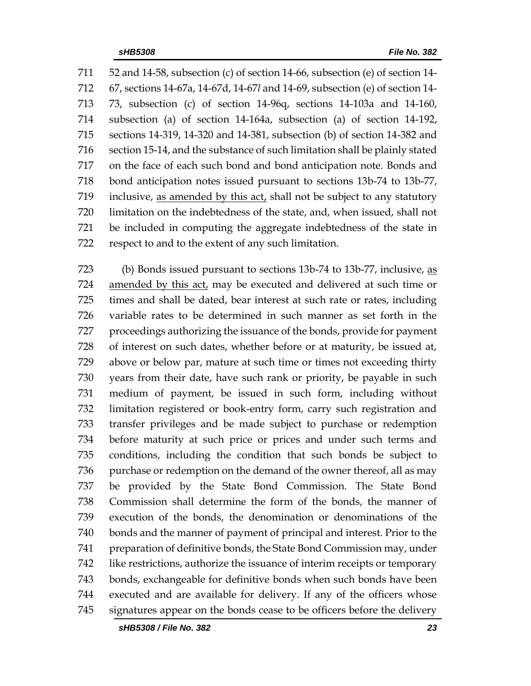52 and 14-58, subsection (c) of section 14-66, subsection (e) of section 14- 67, sections 14-67a, 14-67d, 14-67*l* and 14-69, subsection (e) of section 14- 73, subsection (c) of section 14-96q, sections 14-103a and 14-160, subsection (a) of section 14-164a, subsection (a) of section 14-192, sections 14-319, 14-320 and 14-381, subsection (b) of section 14-382 and section 15-14, and the substance of such limitation shall be plainly stated on the face of each such bond and bond anticipation note. Bonds and bond anticipation notes issued pursuant to sections 13b-74 to 13b-77, inclusive, as amended by this act, shall not be subject to any statutory limitation on the indebtedness of the state, and, when issued, shall not be included in computing the aggregate indebtedness of the state in respect to and to the extent of any such limitation.

 (b) Bonds issued pursuant to sections 13b-74 to 13b-77, inclusive, as amended by this act, may be executed and delivered at such time or times and shall be dated, bear interest at such rate or rates, including variable rates to be determined in such manner as set forth in the proceedings authorizing the issuance of the bonds, provide for payment of interest on such dates, whether before or at maturity, be issued at, above or below par, mature at such time or times not exceeding thirty years from their date, have such rank or priority, be payable in such medium of payment, be issued in such form, including without limitation registered or book-entry form, carry such registration and transfer privileges and be made subject to purchase or redemption before maturity at such price or prices and under such terms and conditions, including the condition that such bonds be subject to 736 purchase or redemption on the demand of the owner thereof, all as may be provided by the State Bond Commission. The State Bond Commission shall determine the form of the bonds, the manner of execution of the bonds, the denomination or denominations of the bonds and the manner of payment of principal and interest. Prior to the preparation of definitive bonds, the State Bond Commission may, under like restrictions, authorize the issuance of interim receipts or temporary bonds, exchangeable for definitive bonds when such bonds have been executed and are available for delivery. If any of the officers whose signatures appear on the bonds cease to be officers before the delivery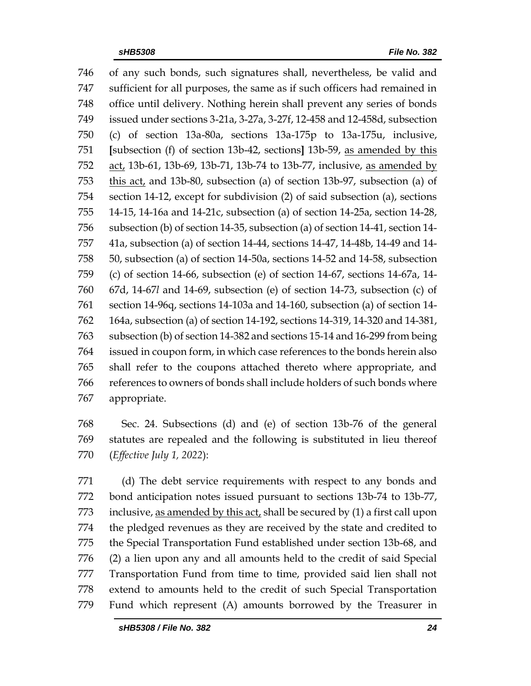of any such bonds, such signatures shall, nevertheless, be valid and sufficient for all purposes, the same as if such officers had remained in office until delivery. Nothing herein shall prevent any series of bonds issued under sections 3-21a, 3-27a, 3-27f, 12-458 and 12-458d, subsection (c) of section 13a-80a, sections 13a-175p to 13a-175u, inclusive, **[**subsection (f) of section 13b-42, sections**]** 13b-59, as amended by this act, 13b-61, 13b-69, 13b-71, 13b-74 to 13b-77, inclusive, as amended by this act, and 13b-80, subsection (a) of section 13b-97, subsection (a) of section 14-12, except for subdivision (2) of said subsection (a), sections 14-15, 14-16a and 14-21c, subsection (a) of section 14-25a, section 14-28, subsection (b) of section 14-35, subsection (a) of section 14-41, section 14- 41a, subsection (a) of section 14-44, sections 14-47, 14-48b, 14-49 and 14- 50, subsection (a) of section 14-50a, sections 14-52 and 14-58, subsection (c) of section 14-66, subsection (e) of section 14-67, sections 14-67a, 14- 67d, 14-67*l* and 14-69, subsection (e) of section 14-73, subsection (c) of section 14-96q, sections 14-103a and 14-160, subsection (a) of section 14- 164a, subsection (a) of section 14-192, sections 14-319, 14-320 and 14-381, subsection (b) of section 14-382 and sections 15-14 and 16-299 from being issued in coupon form, in which case references to the bonds herein also shall refer to the coupons attached thereto where appropriate, and references to owners of bonds shall include holders of such bonds where appropriate.

 Sec. 24. Subsections (d) and (e) of section 13b-76 of the general statutes are repealed and the following is substituted in lieu thereof (*Effective July 1, 2022*):

 (d) The debt service requirements with respect to any bonds and bond anticipation notes issued pursuant to sections 13b-74 to 13b-77, 773 inclusive, as amended by this act, shall be secured by  $(1)$  a first call upon the pledged revenues as they are received by the state and credited to the Special Transportation Fund established under section 13b-68, and (2) a lien upon any and all amounts held to the credit of said Special Transportation Fund from time to time, provided said lien shall not extend to amounts held to the credit of such Special Transportation Fund which represent (A) amounts borrowed by the Treasurer in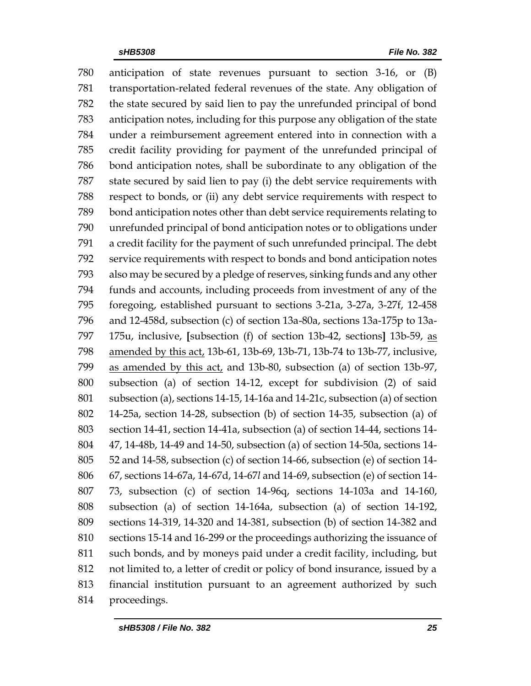anticipation of state revenues pursuant to section 3-16, or (B) transportation-related federal revenues of the state. Any obligation of the state secured by said lien to pay the unrefunded principal of bond anticipation notes, including for this purpose any obligation of the state under a reimbursement agreement entered into in connection with a credit facility providing for payment of the unrefunded principal of bond anticipation notes, shall be subordinate to any obligation of the state secured by said lien to pay (i) the debt service requirements with respect to bonds, or (ii) any debt service requirements with respect to bond anticipation notes other than debt service requirements relating to unrefunded principal of bond anticipation notes or to obligations under a credit facility for the payment of such unrefunded principal. The debt service requirements with respect to bonds and bond anticipation notes also may be secured by a pledge of reserves, sinking funds and any other funds and accounts, including proceeds from investment of any of the foregoing, established pursuant to sections 3-21a, 3-27a, 3-27f, 12-458 and 12-458d, subsection (c) of section 13a-80a, sections 13a-175p to 13a- 175u, inclusive, **[**subsection (f) of section 13b-42, sections**]** 13b-59, as amended by this act, 13b-61, 13b-69, 13b-71, 13b-74 to 13b-77, inclusive, as amended by this act, and 13b-80, subsection (a) of section 13b-97, subsection (a) of section 14-12, except for subdivision (2) of said subsection (a), sections 14-15, 14-16a and 14-21c, subsection (a) of section 14-25a, section 14-28, subsection (b) of section 14-35, subsection (a) of section 14-41, section 14-41a, subsection (a) of section 14-44, sections 14- 47, 14-48b, 14-49 and 14-50, subsection (a) of section 14-50a, sections 14- 52 and 14-58, subsection (c) of section 14-66, subsection (e) of section 14- 67, sections 14-67a, 14-67d, 14-67*l* and 14-69, subsection (e) of section 14- 73, subsection (c) of section 14-96q, sections 14-103a and 14-160, subsection (a) of section 14-164a, subsection (a) of section 14-192, sections 14-319, 14-320 and 14-381, subsection (b) of section 14-382 and sections 15-14 and 16-299 or the proceedings authorizing the issuance of such bonds, and by moneys paid under a credit facility, including, but not limited to, a letter of credit or policy of bond insurance, issued by a financial institution pursuant to an agreement authorized by such proceedings.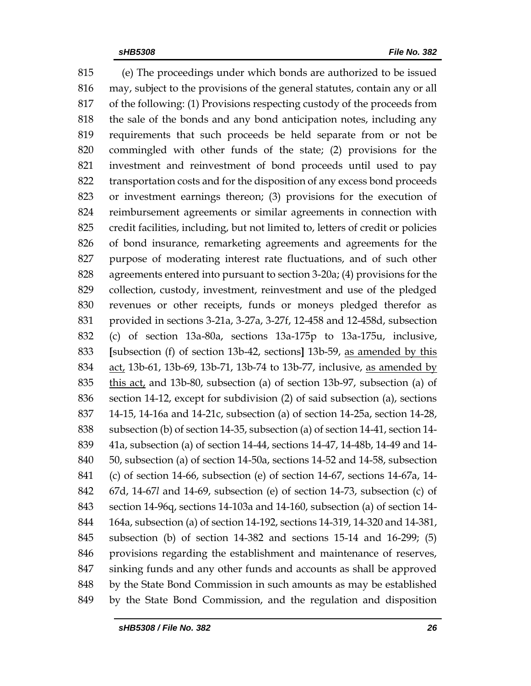(e) The proceedings under which bonds are authorized to be issued may, subject to the provisions of the general statutes, contain any or all of the following: (1) Provisions respecting custody of the proceeds from the sale of the bonds and any bond anticipation notes, including any requirements that such proceeds be held separate from or not be commingled with other funds of the state; (2) provisions for the investment and reinvestment of bond proceeds until used to pay transportation costs and for the disposition of any excess bond proceeds or investment earnings thereon; (3) provisions for the execution of reimbursement agreements or similar agreements in connection with credit facilities, including, but not limited to, letters of credit or policies of bond insurance, remarketing agreements and agreements for the purpose of moderating interest rate fluctuations, and of such other agreements entered into pursuant to section 3-20a; (4) provisions for the collection, custody, investment, reinvestment and use of the pledged revenues or other receipts, funds or moneys pledged therefor as provided in sections 3-21a, 3-27a, 3-27f, 12-458 and 12-458d, subsection (c) of section 13a-80a, sections 13a-175p to 13a-175u, inclusive, **[**subsection (f) of section 13b-42, sections**]** 13b-59, as amended by this act, 13b-61, 13b-69, 13b-71, 13b-74 to 13b-77, inclusive, as amended by this act, and 13b-80, subsection (a) of section 13b-97, subsection (a) of section 14-12, except for subdivision (2) of said subsection (a), sections 14-15, 14-16a and 14-21c, subsection (a) of section 14-25a, section 14-28, subsection (b) of section 14-35, subsection (a) of section 14-41, section 14- 41a, subsection (a) of section 14-44, sections 14-47, 14-48b, 14-49 and 14- 50, subsection (a) of section 14-50a, sections 14-52 and 14-58, subsection (c) of section 14-66, subsection (e) of section 14-67, sections 14-67a, 14- 67d, 14-67*l* and 14-69, subsection (e) of section 14-73, subsection (c) of section 14-96q, sections 14-103a and 14-160, subsection (a) of section 14- 164a, subsection (a) of section 14-192, sections 14-319, 14-320 and 14-381, subsection (b) of section 14-382 and sections 15-14 and 16-299; (5) provisions regarding the establishment and maintenance of reserves, sinking funds and any other funds and accounts as shall be approved by the State Bond Commission in such amounts as may be established by the State Bond Commission, and the regulation and disposition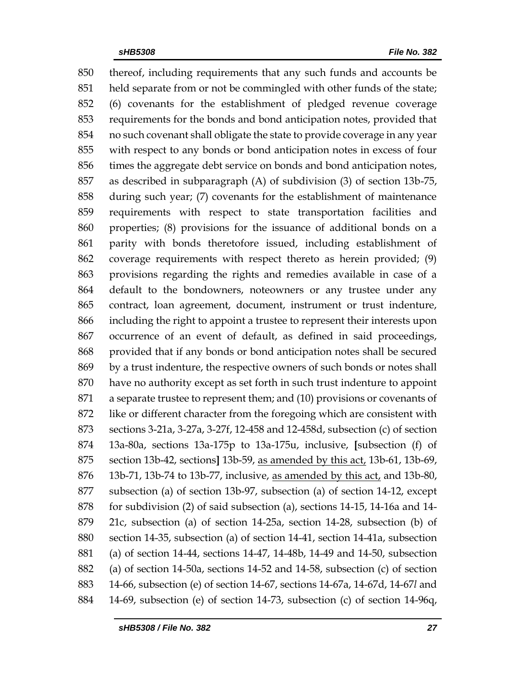thereof, including requirements that any such funds and accounts be held separate from or not be commingled with other funds of the state; (6) covenants for the establishment of pledged revenue coverage requirements for the bonds and bond anticipation notes, provided that no such covenant shall obligate the state to provide coverage in any year with respect to any bonds or bond anticipation notes in excess of four times the aggregate debt service on bonds and bond anticipation notes, as described in subparagraph (A) of subdivision (3) of section 13b-75, during such year; (7) covenants for the establishment of maintenance requirements with respect to state transportation facilities and properties; (8) provisions for the issuance of additional bonds on a parity with bonds theretofore issued, including establishment of coverage requirements with respect thereto as herein provided; (9) provisions regarding the rights and remedies available in case of a default to the bondowners, noteowners or any trustee under any contract, loan agreement, document, instrument or trust indenture, including the right to appoint a trustee to represent their interests upon occurrence of an event of default, as defined in said proceedings, provided that if any bonds or bond anticipation notes shall be secured by a trust indenture, the respective owners of such bonds or notes shall have no authority except as set forth in such trust indenture to appoint a separate trustee to represent them; and (10) provisions or covenants of like or different character from the foregoing which are consistent with sections 3-21a, 3-27a, 3-27f, 12-458 and 12-458d, subsection (c) of section 13a-80a, sections 13a-175p to 13a-175u, inclusive, **[**subsection (f) of section 13b-42, sections**]** 13b-59, as amended by this act, 13b-61, 13b-69, 13b-71, 13b-74 to 13b-77, inclusive, as amended by this act, and 13b-80, subsection (a) of section 13b-97, subsection (a) of section 14-12, except for subdivision (2) of said subsection (a), sections 14-15, 14-16a and 14- 21c, subsection (a) of section 14-25a, section 14-28, subsection (b) of section 14-35, subsection (a) of section 14-41, section 14-41a, subsection (a) of section 14-44, sections 14-47, 14-48b, 14-49 and 14-50, subsection (a) of section 14-50a, sections 14-52 and 14-58, subsection (c) of section 14-66, subsection (e) of section 14-67, sections 14-67a, 14-67d, 14-67*l* and 14-69, subsection (e) of section 14-73, subsection (c) of section 14-96q,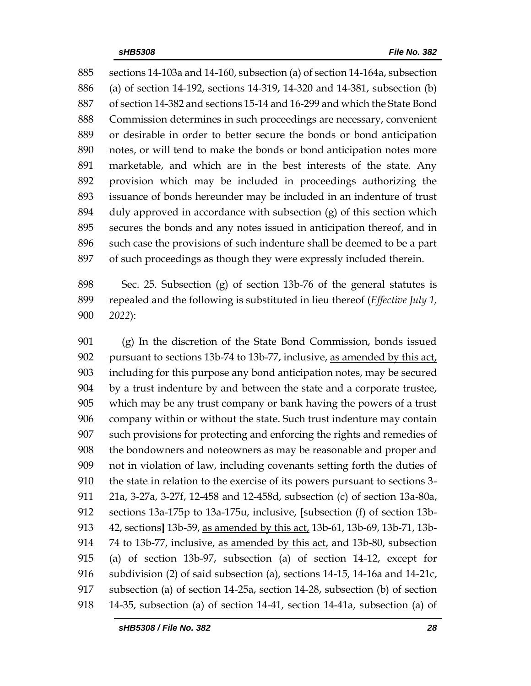sections 14-103a and 14-160, subsection (a) of section 14-164a, subsection (a) of section 14-192, sections 14-319, 14-320 and 14-381, subsection (b) of section 14-382 and sections 15-14 and 16-299 and which the State Bond Commission determines in such proceedings are necessary, convenient or desirable in order to better secure the bonds or bond anticipation notes, or will tend to make the bonds or bond anticipation notes more marketable, and which are in the best interests of the state. Any provision which may be included in proceedings authorizing the issuance of bonds hereunder may be included in an indenture of trust 894 duly approved in accordance with subsection  $(g)$  of this section which secures the bonds and any notes issued in anticipation thereof, and in such case the provisions of such indenture shall be deemed to be a part of such proceedings as though they were expressly included therein.

 Sec. 25. Subsection (g) of section 13b-76 of the general statutes is repealed and the following is substituted in lieu thereof (*Effective July 1, 2022*):

 (g) In the discretion of the State Bond Commission, bonds issued pursuant to sections 13b-74 to 13b-77, inclusive, as amended by this act, including for this purpose any bond anticipation notes, may be secured by a trust indenture by and between the state and a corporate trustee, which may be any trust company or bank having the powers of a trust company within or without the state. Such trust indenture may contain such provisions for protecting and enforcing the rights and remedies of the bondowners and noteowners as may be reasonable and proper and not in violation of law, including covenants setting forth the duties of the state in relation to the exercise of its powers pursuant to sections 3- 21a, 3-27a, 3-27f, 12-458 and 12-458d, subsection (c) of section 13a-80a, sections 13a-175p to 13a-175u, inclusive, **[**subsection (f) of section 13b- 42, sections**]** 13b-59, as amended by this act, 13b-61, 13b-69, 13b-71, 13b- 74 to 13b-77, inclusive, as amended by this act, and 13b-80, subsection (a) of section 13b-97, subsection (a) of section 14-12, except for subdivision (2) of said subsection (a), sections 14-15, 14-16a and 14-21c, subsection (a) of section 14-25a, section 14-28, subsection (b) of section 14-35, subsection (a) of section 14-41, section 14-41a, subsection (a) of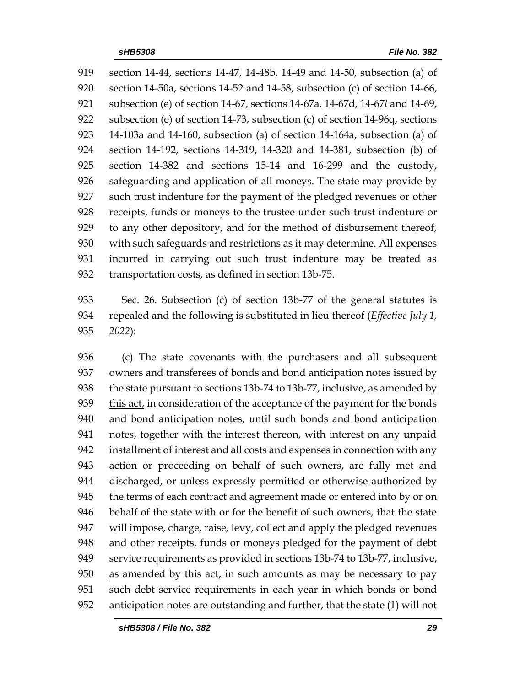section 14-44, sections 14-47, 14-48b, 14-49 and 14-50, subsection (a) of section 14-50a, sections 14-52 and 14-58, subsection (c) of section 14-66, subsection (e) of section 14-67, sections 14-67a, 14-67d, 14-67*l* and 14-69, subsection (e) of section 14-73, subsection (c) of section 14-96q, sections 14-103a and 14-160, subsection (a) of section 14-164a, subsection (a) of section 14-192, sections 14-319, 14-320 and 14-381, subsection (b) of section 14-382 and sections 15-14 and 16-299 and the custody, safeguarding and application of all moneys. The state may provide by such trust indenture for the payment of the pledged revenues or other receipts, funds or moneys to the trustee under such trust indenture or to any other depository, and for the method of disbursement thereof, with such safeguards and restrictions as it may determine. All expenses incurred in carrying out such trust indenture may be treated as transportation costs, as defined in section 13b-75.

 Sec. 26. Subsection (c) of section 13b-77 of the general statutes is repealed and the following is substituted in lieu thereof (*Effective July 1, 2022*):

 (c) The state covenants with the purchasers and all subsequent owners and transferees of bonds and bond anticipation notes issued by 938 the state pursuant to sections 13b-74 to 13b-77, inclusive, as amended by 939 this  $\arct{act}_t$  in consideration of the acceptance of the payment for the bonds and bond anticipation notes, until such bonds and bond anticipation notes, together with the interest thereon, with interest on any unpaid installment of interest and all costs and expenses in connection with any action or proceeding on behalf of such owners, are fully met and discharged, or unless expressly permitted or otherwise authorized by 945 the terms of each contract and agreement made or entered into by or on behalf of the state with or for the benefit of such owners, that the state will impose, charge, raise, levy, collect and apply the pledged revenues and other receipts, funds or moneys pledged for the payment of debt service requirements as provided in sections 13b-74 to 13b-77, inclusive, 950 as amended by this  $act<sub>t</sub>$  in such amounts as may be necessary to pay such debt service requirements in each year in which bonds or bond anticipation notes are outstanding and further, that the state (1) will not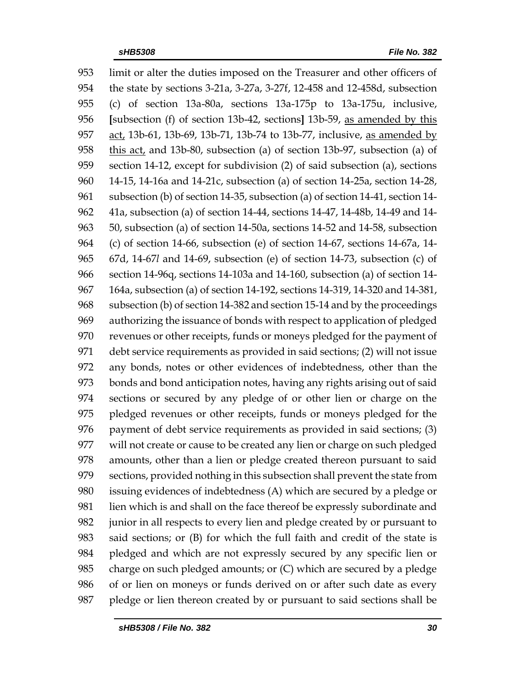limit or alter the duties imposed on the Treasurer and other officers of the state by sections 3-21a, 3-27a, 3-27f, 12-458 and 12-458d, subsection (c) of section 13a-80a, sections 13a-175p to 13a-175u, inclusive, **[**subsection (f) of section 13b-42, sections**]** 13b-59, as amended by this 957 act, 13b-61, 13b-69, 13b-71, 13b-74 to 13b-77, inclusive, as amended by 958 this act, and 13b-80, subsection (a) of section 13b-97, subsection (a) of section 14-12, except for subdivision (2) of said subsection (a), sections 14-15, 14-16a and 14-21c, subsection (a) of section 14-25a, section 14-28, subsection (b) of section 14-35, subsection (a) of section 14-41, section 14- 41a, subsection (a) of section 14-44, sections 14-47, 14-48b, 14-49 and 14- 50, subsection (a) of section 14-50a, sections 14-52 and 14-58, subsection (c) of section 14-66, subsection (e) of section 14-67, sections 14-67a, 14- 67d, 14-67*l* and 14-69, subsection (e) of section 14-73, subsection (c) of section 14-96q, sections 14-103a and 14-160, subsection (a) of section 14- 164a, subsection (a) of section 14-192, sections 14-319, 14-320 and 14-381, subsection (b) of section 14-382 and section 15-14 and by the proceedings authorizing the issuance of bonds with respect to application of pledged revenues or other receipts, funds or moneys pledged for the payment of debt service requirements as provided in said sections; (2) will not issue any bonds, notes or other evidences of indebtedness, other than the bonds and bond anticipation notes, having any rights arising out of said sections or secured by any pledge of or other lien or charge on the pledged revenues or other receipts, funds or moneys pledged for the payment of debt service requirements as provided in said sections; (3) will not create or cause to be created any lien or charge on such pledged amounts, other than a lien or pledge created thereon pursuant to said sections, provided nothing in this subsection shall prevent the state from issuing evidences of indebtedness (A) which are secured by a pledge or lien which is and shall on the face thereof be expressly subordinate and junior in all respects to every lien and pledge created by or pursuant to said sections; or (B) for which the full faith and credit of the state is pledged and which are not expressly secured by any specific lien or charge on such pledged amounts; or (C) which are secured by a pledge of or lien on moneys or funds derived on or after such date as every pledge or lien thereon created by or pursuant to said sections shall be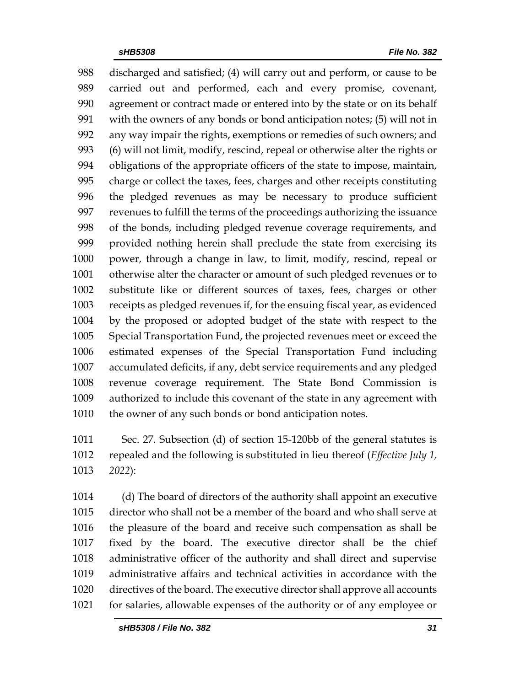discharged and satisfied; (4) will carry out and perform, or cause to be carried out and performed, each and every promise, covenant, agreement or contract made or entered into by the state or on its behalf with the owners of any bonds or bond anticipation notes; (5) will not in any way impair the rights, exemptions or remedies of such owners; and (6) will not limit, modify, rescind, repeal or otherwise alter the rights or obligations of the appropriate officers of the state to impose, maintain, charge or collect the taxes, fees, charges and other receipts constituting the pledged revenues as may be necessary to produce sufficient revenues to fulfill the terms of the proceedings authorizing the issuance of the bonds, including pledged revenue coverage requirements, and provided nothing herein shall preclude the state from exercising its power, through a change in law, to limit, modify, rescind, repeal or otherwise alter the character or amount of such pledged revenues or to substitute like or different sources of taxes, fees, charges or other receipts as pledged revenues if, for the ensuing fiscal year, as evidenced by the proposed or adopted budget of the state with respect to the Special Transportation Fund, the projected revenues meet or exceed the estimated expenses of the Special Transportation Fund including accumulated deficits, if any, debt service requirements and any pledged revenue coverage requirement. The State Bond Commission is authorized to include this covenant of the state in any agreement with 1010 the owner of any such bonds or bond anticipation notes.

 Sec. 27. Subsection (d) of section 15-120bb of the general statutes is repealed and the following is substituted in lieu thereof (*Effective July 1, 2022*):

 (d) The board of directors of the authority shall appoint an executive director who shall not be a member of the board and who shall serve at the pleasure of the board and receive such compensation as shall be fixed by the board. The executive director shall be the chief administrative officer of the authority and shall direct and supervise administrative affairs and technical activities in accordance with the directives of the board. The executive director shall approve all accounts for salaries, allowable expenses of the authority or of any employee or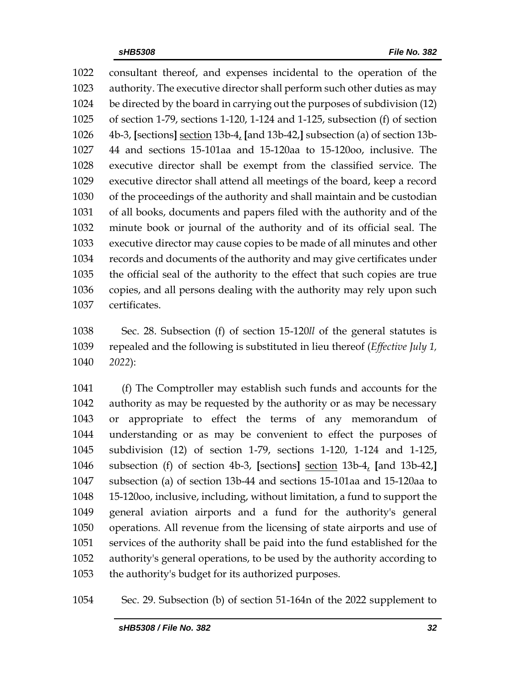consultant thereof, and expenses incidental to the operation of the authority. The executive director shall perform such other duties as may be directed by the board in carrying out the purposes of subdivision (12) of section 1-79, sections 1-120, 1-124 and 1-125, subsection (f) of section 4b-3, **[**sections**]** section 13b-4, **[**and 13b-42,**]** subsection (a) of section 13b- 44 and sections 15-101aa and 15-120aa to 15-120oo, inclusive. The executive director shall be exempt from the classified service. The executive director shall attend all meetings of the board, keep a record of the proceedings of the authority and shall maintain and be custodian of all books, documents and papers filed with the authority and of the minute book or journal of the authority and of its official seal. The executive director may cause copies to be made of all minutes and other records and documents of the authority and may give certificates under the official seal of the authority to the effect that such copies are true copies, and all persons dealing with the authority may rely upon such certificates.

 Sec. 28. Subsection (f) of section 15-120*ll* of the general statutes is repealed and the following is substituted in lieu thereof (*Effective July 1, 2022*):

 (f) The Comptroller may establish such funds and accounts for the authority as may be requested by the authority or as may be necessary or appropriate to effect the terms of any memorandum of understanding or as may be convenient to effect the purposes of subdivision (12) of section 1-79, sections 1-120, 1-124 and 1-125, subsection (f) of section 4b-3, **[**sections**]** section 13b-4, **[**and 13b-42,**]** subsection (a) of section 13b-44 and sections 15-101aa and 15-120aa to 15-120oo, inclusive, including, without limitation, a fund to support the general aviation airports and a fund for the authority's general operations. All revenue from the licensing of state airports and use of services of the authority shall be paid into the fund established for the authority's general operations, to be used by the authority according to the authority's budget for its authorized purposes.

Sec. 29. Subsection (b) of section 51-164n of the 2022 supplement to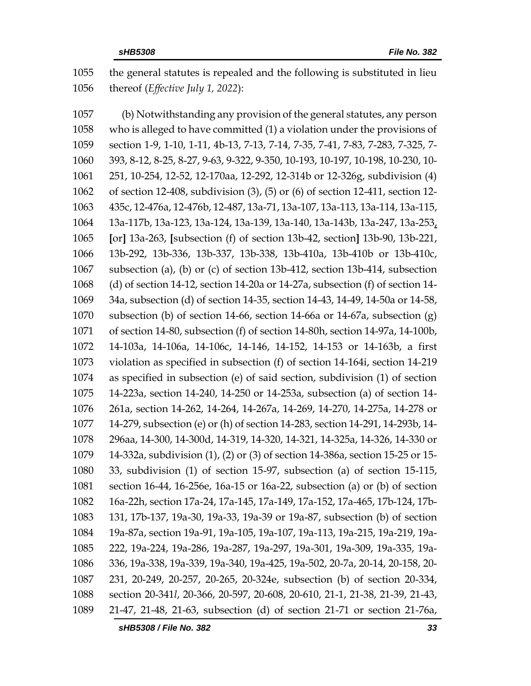the general statutes is repealed and the following is substituted in lieu thereof (*Effective July 1, 2022*):

 (b) Notwithstanding any provision of the general statutes, any person who is alleged to have committed (1) a violation under the provisions of section 1-9, 1-10, 1-11, 4b-13, 7-13, 7-14, 7-35, 7-41, 7-83, 7-283, 7-325, 7- 393, 8-12, 8-25, 8-27, 9-63, 9-322, 9-350, 10-193, 10-197, 10-198, 10-230, 10- 251, 10-254, 12-52, 12-170aa, 12-292, 12-314b or 12-326g, subdivision (4) of section 12-408, subdivision (3), (5) or (6) of section 12-411, section 12- 435c, 12-476a, 12-476b, 12-487, 13a-71, 13a-107, 13a-113, 13a-114, 13a-115, 13a-117b, 13a-123, 13a-124, 13a-139, 13a-140, 13a-143b, 13a-247, 13a-253, **[**or**]** 13a-263, **[**subsection (f) of section 13b-42, section**]** 13b-90, 13b-221, 13b-292, 13b-336, 13b-337, 13b-338, 13b-410a, 13b-410b or 13b-410c, subsection (a), (b) or (c) of section 13b-412, section 13b-414, subsection (d) of section 14-12, section 14-20a or 14-27a, subsection (f) of section 14- 34a, subsection (d) of section 14-35, section 14-43, 14-49, 14-50a or 14-58, subsection (b) of section 14-66, section 14-66a or 14-67a, subsection (g) of section 14-80, subsection (f) of section 14-80h, section 14-97a, 14-100b, 14-103a, 14-106a, 14-106c, 14-146, 14-152, 14-153 or 14-163b, a first violation as specified in subsection (f) of section 14-164i, section 14-219 as specified in subsection (e) of said section, subdivision (1) of section 14-223a, section 14-240, 14-250 or 14-253a, subsection (a) of section 14- 261a, section 14-262, 14-264, 14-267a, 14-269, 14-270, 14-275a, 14-278 or 14-279, subsection (e) or (h) of section 14-283, section 14-291, 14-293b, 14- 296aa, 14-300, 14-300d, 14-319, 14-320, 14-321, 14-325a, 14-326, 14-330 or 14-332a, subdivision (1), (2) or (3) of section 14-386a, section 15-25 or 15- 33, subdivision (1) of section 15-97, subsection (a) of section 15-115, section 16-44, 16-256e, 16a-15 or 16a-22, subsection (a) or (b) of section 16a-22h, section 17a-24, 17a-145, 17a-149, 17a-152, 17a-465, 17b-124, 17b- 131, 17b-137, 19a-30, 19a-33, 19a-39 or 19a-87, subsection (b) of section 19a-87a, section 19a-91, 19a-105, 19a-107, 19a-113, 19a-215, 19a-219, 19a- 222, 19a-224, 19a-286, 19a-287, 19a-297, 19a-301, 19a-309, 19a-335, 19a- 336, 19a-338, 19a-339, 19a-340, 19a-425, 19a-502, 20-7a, 20-14, 20-158, 20- 231, 20-249, 20-257, 20-265, 20-324e, subsection (b) of section 20-334, section 20-341*l*, 20-366, 20-597, 20-608, 20-610, 21-1, 21-38, 21-39, 21-43, 21-47, 21-48, 21-63, subsection (d) of section 21-71 or section 21-76a,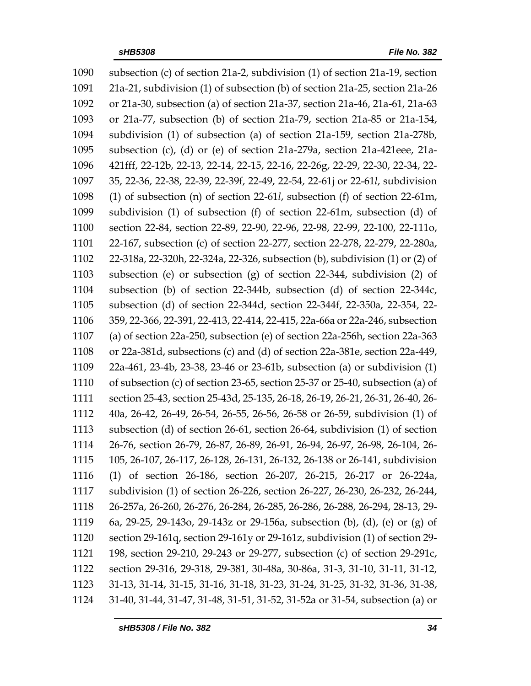subsection (c) of section 21a-2, subdivision (1) of section 21a-19, section 21a-21, subdivision (1) of subsection (b) of section 21a-25, section 21a-26 or 21a-30, subsection (a) of section 21a-37, section 21a-46, 21a-61, 21a-63 or 21a-77, subsection (b) of section 21a-79, section 21a-85 or 21a-154, subdivision (1) of subsection (a) of section 21a-159, section 21a-278b, subsection (c), (d) or (e) of section 21a-279a, section 21a-421eee, 21a- 421fff, 22-12b, 22-13, 22-14, 22-15, 22-16, 22-26g, 22-29, 22-30, 22-34, 22- 35, 22-36, 22-38, 22-39, 22-39f, 22-49, 22-54, 22-61j or 22-61*l*, subdivision (1) of subsection (n) of section 22-61*l*, subsection (f) of section 22-61m, subdivision (1) of subsection (f) of section 22-61m, subsection (d) of section 22-84, section 22-89, 22-90, 22-96, 22-98, 22-99, 22-100, 22-111o, 22-167, subsection (c) of section 22-277, section 22-278, 22-279, 22-280a, 22-318a, 22-320h, 22-324a, 22-326, subsection (b), subdivision (1) or (2) of subsection (e) or subsection (g) of section 22-344, subdivision (2) of subsection (b) of section 22-344b, subsection (d) of section 22-344c, subsection (d) of section 22-344d, section 22-344f, 22-350a, 22-354, 22- 359, 22-366, 22-391, 22-413, 22-414, 22-415, 22a-66a or 22a-246, subsection (a) of section 22a-250, subsection (e) of section 22a-256h, section 22a-363 or 22a-381d, subsections (c) and (d) of section 22a-381e, section 22a-449, 22a-461, 23-4b, 23-38, 23-46 or 23-61b, subsection (a) or subdivision (1) of subsection (c) of section 23-65, section 25-37 or 25-40, subsection (a) of section 25-43, section 25-43d, 25-135, 26-18, 26-19, 26-21, 26-31, 26-40, 26- 40a, 26-42, 26-49, 26-54, 26-55, 26-56, 26-58 or 26-59, subdivision (1) of subsection (d) of section 26-61, section 26-64, subdivision (1) of section 26-76, section 26-79, 26-87, 26-89, 26-91, 26-94, 26-97, 26-98, 26-104, 26- 105, 26-107, 26-117, 26-128, 26-131, 26-132, 26-138 or 26-141, subdivision (1) of section 26-186, section 26-207, 26-215, 26-217 or 26-224a, subdivision (1) of section 26-226, section 26-227, 26-230, 26-232, 26-244, 26-257a, 26-260, 26-276, 26-284, 26-285, 26-286, 26-288, 26-294, 28-13, 29- 6a, 29-25, 29-143o, 29-143z or 29-156a, subsection (b), (d), (e) or (g) of section 29-161q, section 29-161y or 29-161z, subdivision (1) of section 29- 198, section 29-210, 29-243 or 29-277, subsection (c) of section 29-291c, section 29-316, 29-318, 29-381, 30-48a, 30-86a, 31-3, 31-10, 31-11, 31-12, 31-13, 31-14, 31-15, 31-16, 31-18, 31-23, 31-24, 31-25, 31-32, 31-36, 31-38, 31-40, 31-44, 31-47, 31-48, 31-51, 31-52, 31-52a or 31-54, subsection (a) or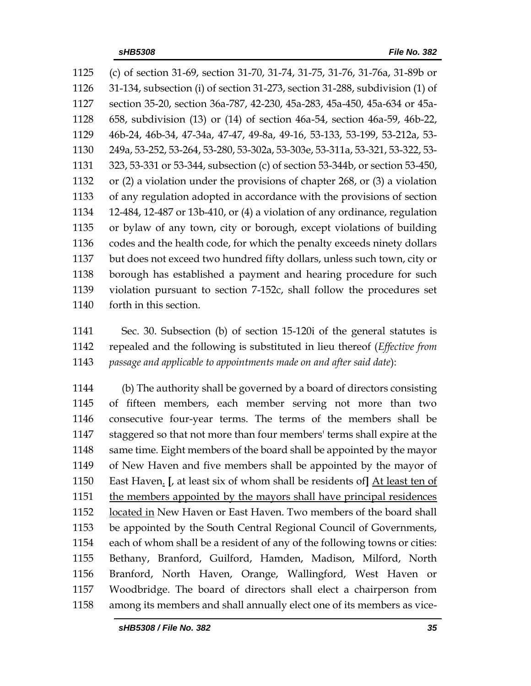(c) of section 31-69, section 31-70, 31-74, 31-75, 31-76, 31-76a, 31-89b or 31-134, subsection (i) of section 31-273, section 31-288, subdivision (1) of section 35-20, section 36a-787, 42-230, 45a-283, 45a-450, 45a-634 or 45a- 658, subdivision (13) or (14) of section 46a-54, section 46a-59, 46b-22, 46b-24, 46b-34, 47-34a, 47-47, 49-8a, 49-16, 53-133, 53-199, 53-212a, 53- 249a, 53-252, 53-264, 53-280, 53-302a, 53-303e, 53-311a, 53-321, 53-322, 53- 323, 53-331 or 53-344, subsection (c) of section 53-344b, or section 53-450, or (2) a violation under the provisions of chapter 268, or (3) a violation of any regulation adopted in accordance with the provisions of section 12-484, 12-487 or 13b-410, or (4) a violation of any ordinance, regulation or bylaw of any town, city or borough, except violations of building codes and the health code, for which the penalty exceeds ninety dollars but does not exceed two hundred fifty dollars, unless such town, city or borough has established a payment and hearing procedure for such violation pursuant to section 7-152c, shall follow the procedures set forth in this section.

 Sec. 30. Subsection (b) of section 15-120i of the general statutes is repealed and the following is substituted in lieu thereof (*Effective from passage and applicable to appointments made on and after said date*):

 (b) The authority shall be governed by a board of directors consisting of fifteen members, each member serving not more than two consecutive four-year terms. The terms of the members shall be staggered so that not more than four members' terms shall expire at the same time. Eight members of the board shall be appointed by the mayor of New Haven and five members shall be appointed by the mayor of East Haven. **[**, at least six of whom shall be residents of**]** At least ten of the members appointed by the mayors shall have principal residences 1152 located in New Haven or East Haven. Two members of the board shall be appointed by the South Central Regional Council of Governments, each of whom shall be a resident of any of the following towns or cities: Bethany, Branford, Guilford, Hamden, Madison, Milford, North Branford, North Haven, Orange, Wallingford, West Haven or Woodbridge. The board of directors shall elect a chairperson from among its members and shall annually elect one of its members as vice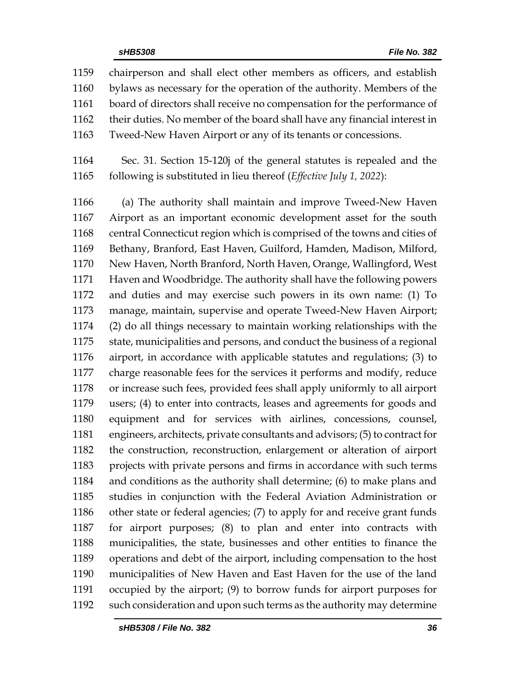chairperson and shall elect other members as officers, and establish bylaws as necessary for the operation of the authority. Members of the board of directors shall receive no compensation for the performance of their duties. No member of the board shall have any financial interest in Tweed-New Haven Airport or any of its tenants or concessions.

 Sec. 31. Section 15-120j of the general statutes is repealed and the following is substituted in lieu thereof (*Effective July 1, 2022*):

 (a) The authority shall maintain and improve Tweed-New Haven Airport as an important economic development asset for the south central Connecticut region which is comprised of the towns and cities of Bethany, Branford, East Haven, Guilford, Hamden, Madison, Milford, New Haven, North Branford, North Haven, Orange, Wallingford, West Haven and Woodbridge. The authority shall have the following powers and duties and may exercise such powers in its own name: (1) To manage, maintain, supervise and operate Tweed-New Haven Airport; (2) do all things necessary to maintain working relationships with the state, municipalities and persons, and conduct the business of a regional airport, in accordance with applicable statutes and regulations; (3) to charge reasonable fees for the services it performs and modify, reduce or increase such fees, provided fees shall apply uniformly to all airport users; (4) to enter into contracts, leases and agreements for goods and equipment and for services with airlines, concessions, counsel, engineers, architects, private consultants and advisors; (5) to contract for the construction, reconstruction, enlargement or alteration of airport projects with private persons and firms in accordance with such terms and conditions as the authority shall determine; (6) to make plans and studies in conjunction with the Federal Aviation Administration or other state or federal agencies; (7) to apply for and receive grant funds for airport purposes; (8) to plan and enter into contracts with municipalities, the state, businesses and other entities to finance the operations and debt of the airport, including compensation to the host municipalities of New Haven and East Haven for the use of the land occupied by the airport; (9) to borrow funds for airport purposes for such consideration and upon such terms as the authority may determine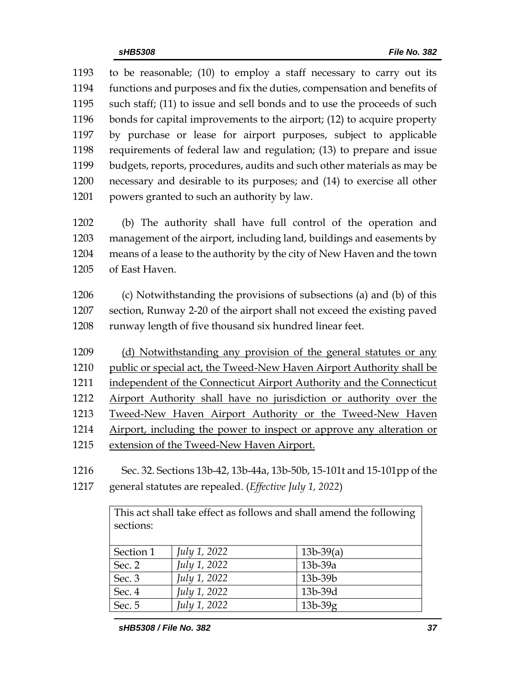to be reasonable; (10) to employ a staff necessary to carry out its functions and purposes and fix the duties, compensation and benefits of such staff; (11) to issue and sell bonds and to use the proceeds of such bonds for capital improvements to the airport; (12) to acquire property by purchase or lease for airport purposes, subject to applicable requirements of federal law and regulation; (13) to prepare and issue budgets, reports, procedures, audits and such other materials as may be necessary and desirable to its purposes; and (14) to exercise all other powers granted to such an authority by law.

 (b) The authority shall have full control of the operation and management of the airport, including land, buildings and easements by means of a lease to the authority by the city of New Haven and the town of East Haven.

 (c) Notwithstanding the provisions of subsections (a) and (b) of this section, Runway 2-20 of the airport shall not exceed the existing paved runway length of five thousand six hundred linear feet.

1209 (d) Notwithstanding any provision of the general statutes or any

1210 public or special act, the Tweed-New Haven Airport Authority shall be

- independent of the Connecticut Airport Authority and the Connecticut
- Airport Authority shall have no jurisdiction or authority over the
- Tweed-New Haven Airport Authority or the Tweed-New Haven
- Airport, including the power to inspect or approve any alteration or
- extension of the Tweed-New Haven Airport.
- Sec. 32. Sections 13b-42, 13b-44a, 13b-50b, 15-101t and 15-101pp of the
- general statutes are repealed. (*Effective July 1, 2022*)

Sec. 5 *July 1, 2022* 13b-39g

This act shall take effect as follows and shall amend the following sections: Section 1 *July 1, 2022* 13b-39(a) Sec. 2 *July 1, 2022* 13b-39a Sec. 3 *July 1, 2022* 13b-39b Sec. 4 *July 1, 2022* 13b-39d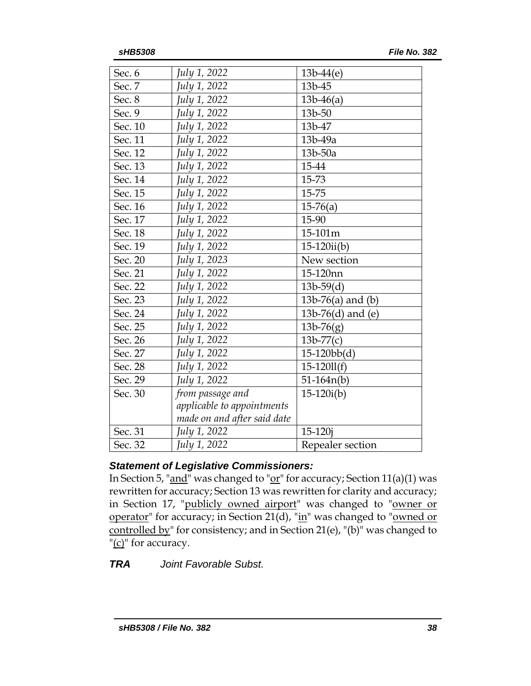| Sec. 6  | July 1, 2022                | $13b-44(e)$         |
|---------|-----------------------------|---------------------|
| Sec. 7  | July 1, 2022                | 13b-45              |
| Sec. 8  | July 1, 2022                | $13b-46(a)$         |
| Sec. 9  | July 1, 2022                | 13b-50              |
| Sec. 10 | July 1, 2022                | 13b-47              |
| Sec. 11 | July 1, 2022                | 13b-49a             |
| Sec. 12 | July 1, 2022                | 13b-50a             |
| Sec. 13 | July 1, 2022                | 15-44               |
| Sec. 14 | July 1, 2022                | 15-73               |
| Sec. 15 | July 1, 2022                | 15-75               |
| Sec. 16 | July 1, 2022                | $15-76(a)$          |
| Sec. 17 | July 1, 2022                | 15-90               |
| Sec. 18 | July 1, 2022                | 15-101m             |
| Sec. 19 | July 1, 2022                | $15-120ii(b)$       |
| Sec. 20 | July 1, 2023                | New section         |
| Sec. 21 | July 1, 2022                | 15-120nn            |
| Sec. 22 | July 1, 2022                | $13b-59(d)$         |
| Sec. 23 | July 1, 2022                | 13b-76(a) and $(b)$ |
| Sec. 24 | July 1, 2022                | 13b-76(d) and (e)   |
| Sec. 25 | July 1, 2022                | $13b-76(g)$         |
| Sec. 26 | July 1, 2022                | $13b-77(c)$         |
| Sec. 27 | July 1, 2022                | $15-120bb(d)$       |
| Sec. 28 | July 1, 2022                | $15-12011(f)$       |
| Sec. 29 | July 1, 2022                | $51-164n(b)$        |
| Sec. 30 | from passage and            | $15-120i(b)$        |
|         | applicable to appointments  |                     |
|         | made on and after said date |                     |
| Sec. 31 | July 1, 2022                | $15 - 120j$         |
| Sec. 32 | July 1, 2022                | Repealer section    |

#### *Statement of Legislative Commissioners:*

In Section 5, "and" was changed to " $or$ " for accuracy; Section 11(a)(1) was</u> rewritten for accuracy; Section 13 was rewritten for clarity and accuracy; in Section 17, "publicly owned airport" was changed to "owner or operator" for accuracy; in Section 21(d), " $\text{in}$ " was changed to "owned or controlled by" for consistency; and in Section 21(e), "(b)" was changed to "(c)" for accuracy.

### *TRA Joint Favorable Subst.*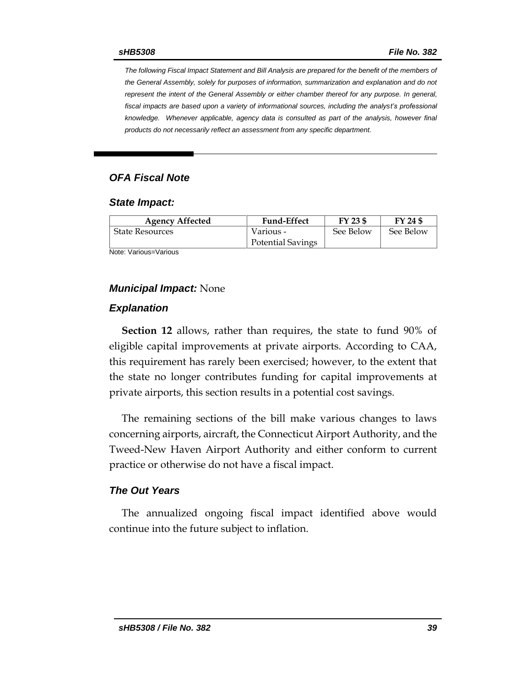*The following Fiscal Impact Statement and Bill Analysis are prepared for the benefit of the members of the General Assembly, solely for purposes of information, summarization and explanation and do not represent the intent of the General Assembly or either chamber thereof for any purpose. In general,*  fiscal impacts are based upon a variety of informational sources, including the analyst's professional *knowledge. Whenever applicable, agency data is consulted as part of the analysis, however final products do not necessarily reflect an assessment from any specific department.*

#### *OFA Fiscal Note*

#### *State Impact:*

| <b>Agency Affected</b> | <b>Fund-Effect</b>       | FY 23 \$  | FY 24 \$  |
|------------------------|--------------------------|-----------|-----------|
| <b>State Resources</b> | Various -                | See Below | See Below |
|                        | <b>Potential Savings</b> |           |           |

Note: Various=Various

#### *Municipal Impact:* None

#### *Explanation*

**Section 12** allows, rather than requires, the state to fund 90% of eligible capital improvements at private airports. According to CAA, this requirement has rarely been exercised; however, to the extent that the state no longer contributes funding for capital improvements at private airports, this section results in a potential cost savings.

The remaining sections of the bill make various changes to laws concerning airports, aircraft, the Connecticut Airport Authority, and the Tweed-New Haven Airport Authority and either conform to current practice or otherwise do not have a fiscal impact.

#### *The Out Years*

The annualized ongoing fiscal impact identified above would continue into the future subject to inflation.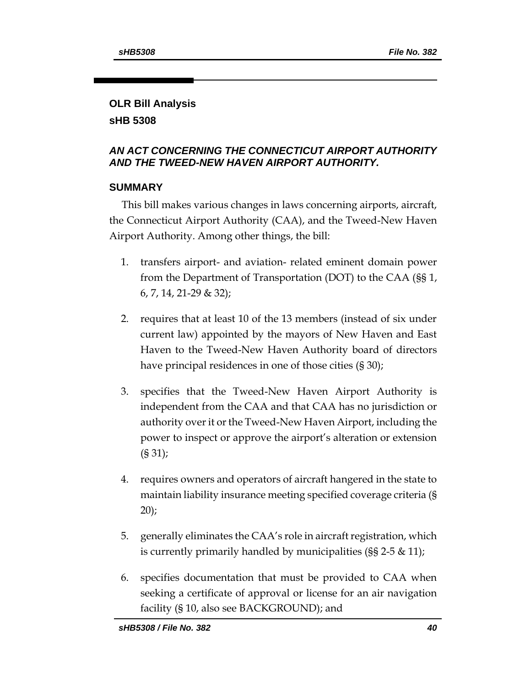# **OLR Bill Analysis sHB 5308**

### *AN ACT CONCERNING THE CONNECTICUT AIRPORT AUTHORITY AND THE TWEED-NEW HAVEN AIRPORT AUTHORITY.*

## **SUMMARY**

This bill makes various changes in laws concerning airports, aircraft, the Connecticut Airport Authority (CAA), and the Tweed-New Haven Airport Authority. Among other things, the bill:

- 1. transfers airport- and aviation- related eminent domain power from the Department of Transportation (DOT) to the CAA (§§ 1, 6, 7, 14, 21-29 & 32);
- 2. requires that at least 10 of the 13 members (instead of six under current law) appointed by the mayors of New Haven and East Haven to the Tweed-New Haven Authority board of directors have principal residences in one of those cities (§ 30);
- 3. specifies that the Tweed-New Haven Airport Authority is independent from the CAA and that CAA has no jurisdiction or authority over it or the Tweed-New Haven Airport, including the power to inspect or approve the airport's alteration or extension (§ 31);
- 4. requires owners and operators of aircraft hangered in the state to maintain liability insurance meeting specified coverage criteria (§ 20);
- 5. generally eliminates the CAA's role in aircraft registration, which is currently primarily handled by municipalities (§§ 2-5 & 11);
- 6. specifies documentation that must be provided to CAA when seeking a certificate of approval or license for an air navigation facility (§ 10, also see BACKGROUND); and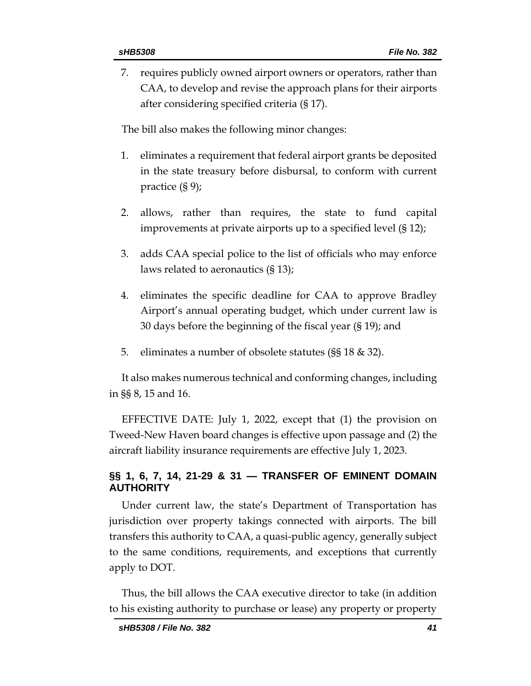7. requires publicly owned airport owners or operators, rather than CAA, to develop and revise the approach plans for their airports after considering specified criteria (§ 17).

The bill also makes the following minor changes:

- 1. eliminates a requirement that federal airport grants be deposited in the state treasury before disbursal, to conform with current practice (§ 9);
- 2. allows, rather than requires, the state to fund capital improvements at private airports up to a specified level (§ 12);
- 3. adds CAA special police to the list of officials who may enforce laws related to aeronautics (§ 13);
- 4. eliminates the specific deadline for CAA to approve Bradley Airport's annual operating budget, which under current law is 30 days before the beginning of the fiscal year (§ 19); and
- 5. eliminates a number of obsolete statutes (§§ 18 & 32).

It also makes numerous technical and conforming changes, including in §§ 8, 15 and 16.

EFFECTIVE DATE: July 1, 2022, except that (1) the provision on Tweed-New Haven board changes is effective upon passage and (2) the aircraft liability insurance requirements are effective July 1, 2023.

### **§§ 1, 6, 7, 14, 21-29 & 31 — TRANSFER OF EMINENT DOMAIN AUTHORITY**

Under current law, the state's Department of Transportation has jurisdiction over property takings connected with airports. The bill transfers this authority to CAA, a quasi-public agency, generally subject to the same conditions, requirements, and exceptions that currently apply to DOT.

Thus, the bill allows the CAA executive director to take (in addition to his existing authority to purchase or lease) any property or property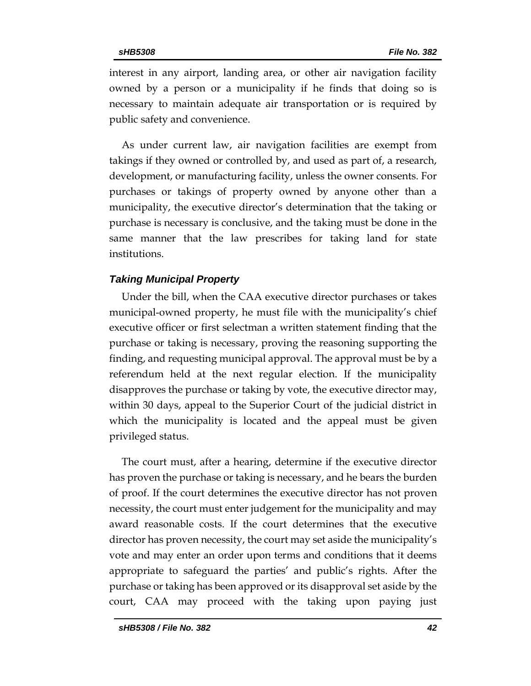interest in any airport, landing area, or other air navigation facility owned by a person or a municipality if he finds that doing so is necessary to maintain adequate air transportation or is required by public safety and convenience.

As under current law, air navigation facilities are exempt from takings if they owned or controlled by, and used as part of, a research, development, or manufacturing facility, unless the owner consents. For purchases or takings of property owned by anyone other than a municipality, the executive director's determination that the taking or purchase is necessary is conclusive, and the taking must be done in the same manner that the law prescribes for taking land for state institutions.

#### *Taking Municipal Property*

Under the bill, when the CAA executive director purchases or takes municipal-owned property, he must file with the municipality's chief executive officer or first selectman a written statement finding that the purchase or taking is necessary, proving the reasoning supporting the finding, and requesting municipal approval. The approval must be by a referendum held at the next regular election. If the municipality disapproves the purchase or taking by vote, the executive director may, within 30 days, appeal to the Superior Court of the judicial district in which the municipality is located and the appeal must be given privileged status.

The court must, after a hearing, determine if the executive director has proven the purchase or taking is necessary, and he bears the burden of proof. If the court determines the executive director has not proven necessity, the court must enter judgement for the municipality and may award reasonable costs. If the court determines that the executive director has proven necessity, the court may set aside the municipality's vote and may enter an order upon terms and conditions that it deems appropriate to safeguard the parties' and public's rights. After the purchase or taking has been approved or its disapproval set aside by the court, CAA may proceed with the taking upon paying just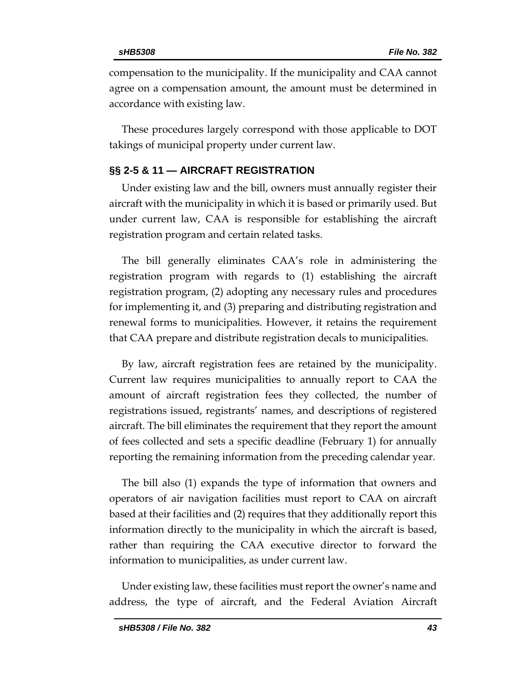compensation to the municipality. If the municipality and CAA cannot agree on a compensation amount, the amount must be determined in accordance with existing law.

These procedures largely correspond with those applicable to DOT takings of municipal property under current law.

### **§§ 2-5 & 11 — AIRCRAFT REGISTRATION**

Under existing law and the bill, owners must annually register their aircraft with the municipality in which it is based or primarily used. But under current law, CAA is responsible for establishing the aircraft registration program and certain related tasks.

The bill generally eliminates CAA's role in administering the registration program with regards to (1) establishing the aircraft registration program, (2) adopting any necessary rules and procedures for implementing it, and (3) preparing and distributing registration and renewal forms to municipalities. However, it retains the requirement that CAA prepare and distribute registration decals to municipalities.

By law, aircraft registration fees are retained by the municipality. Current law requires municipalities to annually report to CAA the amount of aircraft registration fees they collected, the number of registrations issued, registrants' names, and descriptions of registered aircraft. The bill eliminates the requirement that they report the amount of fees collected and sets a specific deadline (February 1) for annually reporting the remaining information from the preceding calendar year.

The bill also (1) expands the type of information that owners and operators of air navigation facilities must report to CAA on aircraft based at their facilities and (2) requires that they additionally report this information directly to the municipality in which the aircraft is based, rather than requiring the CAA executive director to forward the information to municipalities, as under current law.

Under existing law, these facilities must report the owner's name and address, the type of aircraft, and the Federal Aviation Aircraft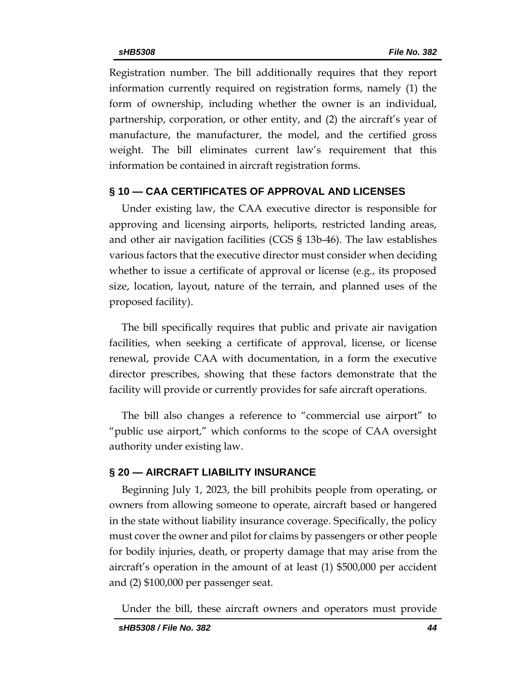Registration number. The bill additionally requires that they report information currently required on registration forms, namely (1) the form of ownership, including whether the owner is an individual, partnership, corporation, or other entity, and (2) the aircraft's year of manufacture, the manufacturer, the model, and the certified gross weight. The bill eliminates current law's requirement that this information be contained in aircraft registration forms.

#### **§ 10 — CAA CERTIFICATES OF APPROVAL AND LICENSES**

Under existing law, the CAA executive director is responsible for approving and licensing airports, heliports, restricted landing areas, and other air navigation facilities (CGS § 13b-46). The law establishes various factors that the executive director must consider when deciding whether to issue a certificate of approval or license (e.g., its proposed size, location, layout, nature of the terrain, and planned uses of the proposed facility).

The bill specifically requires that public and private air navigation facilities, when seeking a certificate of approval, license, or license renewal, provide CAA with documentation, in a form the executive director prescribes, showing that these factors demonstrate that the facility will provide or currently provides for safe aircraft operations.

The bill also changes a reference to "commercial use airport" to "public use airport," which conforms to the scope of CAA oversight authority under existing law.

#### **§ 20 — AIRCRAFT LIABILITY INSURANCE**

Beginning July 1, 2023, the bill prohibits people from operating, or owners from allowing someone to operate, aircraft based or hangered in the state without liability insurance coverage. Specifically, the policy must cover the owner and pilot for claims by passengers or other people for bodily injuries, death, or property damage that may arise from the aircraft's operation in the amount of at least (1) \$500,000 per accident and (2) \$100,000 per passenger seat.

Under the bill, these aircraft owners and operators must provide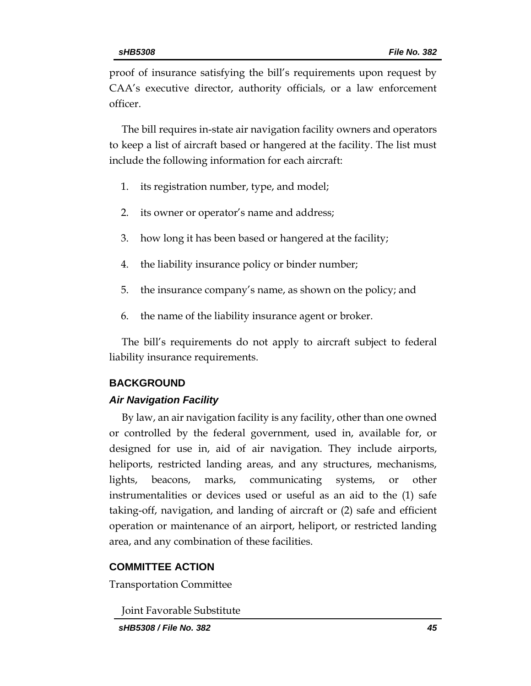proof of insurance satisfying the bill's requirements upon request by CAA's executive director, authority officials, or a law enforcement officer.

The bill requires in-state air navigation facility owners and operators to keep a list of aircraft based or hangered at the facility. The list must include the following information for each aircraft:

- 1. its registration number, type, and model;
- 2. its owner or operator's name and address;
- 3. how long it has been based or hangered at the facility;
- 4. the liability insurance policy or binder number;
- 5. the insurance company's name, as shown on the policy; and
- 6. the name of the liability insurance agent or broker.

The bill's requirements do not apply to aircraft subject to federal liability insurance requirements.

#### **BACKGROUND**

#### *Air Navigation Facility*

By law, an air navigation facility is any facility, other than one owned or controlled by the federal government, used in, available for, or designed for use in, aid of air navigation. They include airports, heliports, restricted landing areas, and any structures, mechanisms, lights, beacons, marks, communicating systems, or other instrumentalities or devices used or useful as an aid to the (1) safe taking-off, navigation, and landing of aircraft or (2) safe and efficient operation or maintenance of an airport, heliport, or restricted landing area, and any combination of these facilities.

#### **COMMITTEE ACTION**

Transportation Committee

Joint Favorable Substitute